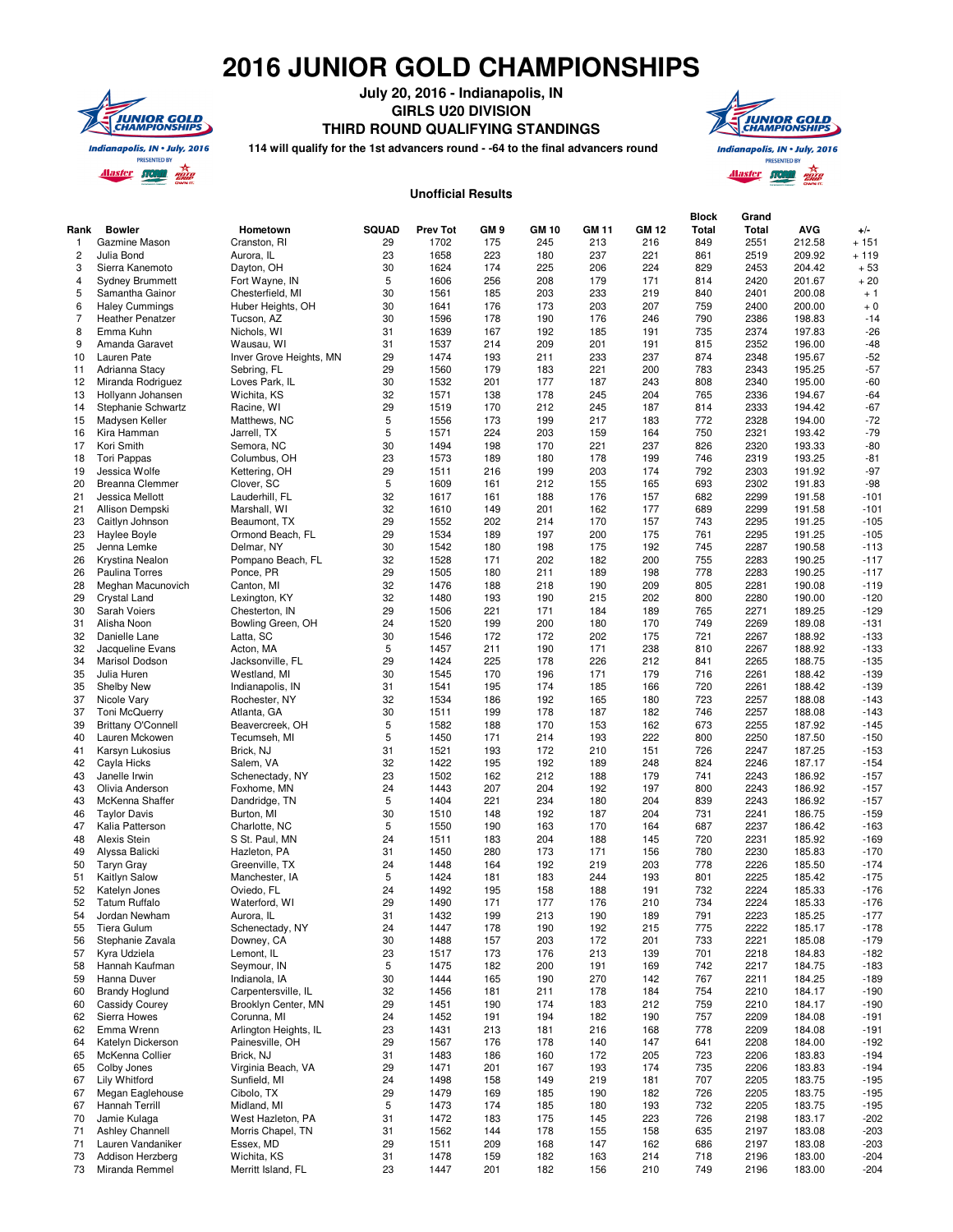## **2016 JUNIOR GOLD CHAMPIONSHIPS**



**July 20, 2016 - Indianapolis, IN GIRLS U20 DIVISION THIRD ROUND QUALIFYING STANDINGS**





## **Unofficial Results**

|                |                         |                         |              |                 |                 |              |              |              | Block | Grand        |            |        |
|----------------|-------------------------|-------------------------|--------------|-----------------|-----------------|--------------|--------------|--------------|-------|--------------|------------|--------|
| Rank           | <b>Bowler</b>           | Hometown                | <b>SQUAD</b> | <b>Prev Tot</b> | GM <sub>9</sub> | <b>GM 10</b> | <b>GM 11</b> | <b>GM 12</b> | Total | <b>Total</b> | <b>AVG</b> | $+/-$  |
|                |                         |                         | 29           | 1702            | 175             |              | 213          |              | 849   | 2551         | 212.58     | $+151$ |
| $\mathbf{1}$   | Gazmine Mason           | Cranston, RI            |              |                 |                 | 245          |              | 216          |       |              |            |        |
| $\sqrt{2}$     | Julia Bond              | Aurora, IL              | 23           | 1658            | 223             | 180          | 237          | 221          | 861   | 2519         | 209.92     | $+119$ |
| 3              | Sierra Kanemoto         | Dayton, OH              | 30           | 1624            | 174             | 225          | 206          | 224          | 829   | 2453         | 204.42     | $+53$  |
| 4              | <b>Sydney Brummett</b>  | Fort Wayne, IN          | 5            | 1606            | 256             | 208          | 179          | 171          | 814   | 2420         | 201.67     | $+20$  |
| 5              | Samantha Gainor         | Chesterfield, MI        | 30           | 1561            | 185             | 203          | 233          | 219          | 840   | 2401         | 200.08     | $+1$   |
| 6              |                         |                         | 30           | 1641            | 176             | 173          | 203          |              | 759   |              | 200.00     |        |
|                | <b>Haley Cummings</b>   | Huber Heights, OH       |              |                 |                 |              |              | 207          |       | 2400         |            | $+0$   |
| $\overline{7}$ | <b>Heather Penatzer</b> | Tucson, AZ              | 30           | 1596            | 178             | 190          | 176          | 246          | 790   | 2386         | 198.83     | $-14$  |
| 8              | Emma Kuhn               | Nichols, WI             | 31           | 1639            | 167             | 192          | 185          | 191          | 735   | 2374         | 197.83     | $-26$  |
| 9              | Amanda Garavet          | Wausau, WI              | 31           | 1537            | 214             | 209          | 201          | 191          | 815   | 2352         | 196.00     | $-48$  |
| 10             | Lauren Pate             | Inver Grove Heights, MN | 29           | 1474            | 193             | 211          | 233          | 237          | 874   | 2348         | 195.67     | $-52$  |
| 11             | Adrianna Stacy          | Sebring, FL             | 29           | 1560            | 179             | 183          | 221          | 200          | 783   | 2343         | 195.25     | $-57$  |
|                |                         |                         | 30           | 1532            | 201             | 177          | 187          |              | 808   | 2340         | 195.00     |        |
| 12             | Miranda Rodriguez       | Loves Park, IL          |              |                 |                 |              |              | 243          |       |              |            | $-60$  |
| 13             | Hollyann Johansen       | Wichita, KS             | 32           | 1571            | 138             | 178          | 245          | 204          | 765   | 2336         | 194.67     | $-64$  |
| 14             | Stephanie Schwartz      | Racine, WI              | 29           | 1519            | 170             | 212          | 245          | 187          | 814   | 2333         | 194.42     | $-67$  |
| 15             | Madysen Keller          | Matthews, NC            | 5            | 1556            | 173             | 199          | 217          | 183          | 772   | 2328         | 194.00     | $-72$  |
| 16             | Kira Hamman             | Jarrell, TX             | 5            | 1571            | 224             | 203          | 159          | 164          | 750   | 2321         | 193.42     | $-79$  |
| 17             | Kori Smith              | Semora, NC              | 30           | 1494            | 198             | 170          | 221          | 237          | 826   | 2320         | 193.33     | $-80$  |
| 18             | <b>Tori Pappas</b>      | Columbus, OH            | 23           | 1573            | 189             | 180          | 178          | 199          | 746   | 2319         | 193.25     | $-81$  |
|                |                         |                         |              |                 |                 |              |              |              |       |              |            |        |
| 19             | Jessica Wolfe           | Kettering, OH           | 29           | 1511            | 216             | 199          | 203          | 174          | 792   | 2303         | 191.92     | $-97$  |
| 20             | Breanna Clemmer         | Clover, SC              | 5            | 1609            | 161             | 212          | 155          | 165          | 693   | 2302         | 191.83     | $-98$  |
| 21             | Jessica Mellott         | Lauderhill, FL          | 32           | 1617            | 161             | 188          | 176          | 157          | 682   | 2299         | 191.58     | $-101$ |
| 21             | Allison Dempski         | Marshall, WI            | 32           | 1610            | 149             | 201          | 162          | 177          | 689   | 2299         | 191.58     | $-101$ |
| 23             | Caitlyn Johnson         | Beaumont, TX            | 29           | 1552            | 202             | 214          | 170          | 157          | 743   | 2295         | 191.25     | $-105$ |
| 23             | <b>Haylee Boyle</b>     | Ormond Beach, FL        | 29           | 1534            | 189             | 197          | 200          | 175          | 761   | 2295         | 191.25     | $-105$ |
|                |                         |                         |              |                 |                 |              |              |              |       |              |            |        |
| 25             | Jenna Lemke             | Delmar, NY              | 30           | 1542            | 180             | 198          | 175          | 192          | 745   | 2287         | 190.58     | $-113$ |
| 26             | Krystina Nealon         | Pompano Beach, FL       | 32           | 1528            | 171             | 202          | 182          | 200          | 755   | 2283         | 190.25     | $-117$ |
| 26             | Paulina Torres          | Ponce, PR               | 29           | 1505            | 180             | 211          | 189          | 198          | 778   | 2283         | 190.25     | $-117$ |
| 28             | Meghan Macunovich       | Canton, MI              | 32           | 1476            | 188             | 218          | 190          | 209          | 805   | 2281         | 190.08     | $-119$ |
| 29             | Crystal Land            | Lexington, KY           | 32           | 1480            | 193             | 190          | 215          | 202          | 800   | 2280         | 190.00     | $-120$ |
| 30             | Sarah Voiers            |                         | 29           | 1506            | 221             | 171          | 184          | 189          | 765   | 2271         | 189.25     | $-129$ |
|                |                         | Chesterton, IN          |              |                 |                 |              |              |              |       |              |            |        |
| 31             | Alisha Noon             | Bowling Green, OH       | 24           | 1520            | 199             | 200          | 180          | 170          | 749   | 2269         | 189.08     | $-131$ |
| 32             | Danielle Lane           | Latta, SC               | 30           | 1546            | 172             | 172          | 202          | 175          | 721   | 2267         | 188.92     | $-133$ |
| 32             | Jacqueline Evans        | Acton, MA               | 5            | 1457            | 211             | 190          | 171          | 238          | 810   | 2267         | 188.92     | $-133$ |
| 34             | Marisol Dodson          | Jacksonville, FL        | 29           | 1424            | 225             | 178          | 226          | 212          | 841   | 2265         | 188.75     | $-135$ |
| 35             | Julia Huren             | Westland, MI            | 30           | 1545            | 170             | 196          | 171          | 179          | 716   | 2261         | 188.42     | $-139$ |
|                |                         |                         | 31           | 1541            |                 |              | 185          |              | 720   | 2261         | 188.42     | $-139$ |
| 35             | Shelby New              | Indianapolis, IN        |              |                 | 195             | 174          |              | 166          |       |              |            |        |
| 37             | Nicole Vary             | Rochester, NY           | 32           | 1534            | 186             | 192          | 165          | 180          | 723   | 2257         | 188.08     | $-143$ |
| 37             | Toni McQuerry           | Atlanta, GA             | 30           | 1511            | 199             | 178          | 187          | 182          | 746   | 2257         | 188.08     | $-143$ |
| 39             | Brittany O'Connell      | Beavercreek, OH         | 5            | 1582            | 188             | 170          | 153          | 162          | 673   | 2255         | 187.92     | $-145$ |
| 40             | Lauren Mckowen          | Tecumseh, MI            | 5            | 1450            | 171             | 214          | 193          | 222          | 800   | 2250         | 187.50     | $-150$ |
| 41             | Karsyn Lukosius         | Brick, NJ               | 31           | 1521            | 193             | 172          | 210          | 151          | 726   | 2247         | 187.25     | $-153$ |
| 42             | Cayla Hicks             | Salem, VA               | 32           | 1422            | 195             | 192          | 189          | 248          | 824   | 2246         | 187.17     | $-154$ |
|                |                         |                         |              |                 |                 |              |              |              |       |              |            |        |
| 43             | Janelle Irwin           | Schenectady, NY         | 23           | 1502            | 162             | 212          | 188          | 179          | 741   | 2243         | 186.92     | $-157$ |
| 43             | Olivia Anderson         | Foxhome, MN             | 24           | 1443            | 207             | 204          | 192          | 197          | 800   | 2243         | 186.92     | $-157$ |
| 43             | McKenna Shaffer         | Dandridge, TN           | 5            | 1404            | 221             | 234          | 180          | 204          | 839   | 2243         | 186.92     | $-157$ |
| 46             | <b>Taylor Davis</b>     | Burton, MI              | 30           | 1510            | 148             | 192          | 187          | 204          | 731   | 2241         | 186.75     | $-159$ |
| 47             | Kalia Patterson         | Charlotte, NC           | 5            | 1550            | 190             | 163          | 170          | 164          | 687   | 2237         | 186.42     | $-163$ |
| 48             | Alexis Stein            | S St. Paul, MN          | 24           | 1511            | 183             | 204          | 188          | 145          | 720   | 2231         | 185.92     | $-169$ |
| 49             |                         |                         | 31           | 1450            | 280             | 173          | 171          | 156          | 780   | 2230         | 185.83     | $-170$ |
|                | Alyssa Balicki          | Hazleton, PA            |              |                 |                 |              |              |              |       |              |            |        |
| 50             | <b>Taryn Gray</b>       | Greenville, TX          | 24           | 1448            | 164             | 192          | 219          | 203          | 778   | 2226         | 185.50     | $-174$ |
| 51             | Kaitlyn Salow           | Manchester, IA          | 5            | 1424            | 181             | 183          | 244          | 193          | 801   | 2225         | 185.42     | $-175$ |
| 52             | Katelyn Jones           | Oviedo, FL              | 24           | 1492            | 195             | 158          | 188          | 191          | 732   | 2224         | 185.33     | $-176$ |
| 52             | <b>Tatum Ruffalo</b>    | Waterford, WI           | 29           | 1490            | 171             | 177          | 176          | 210          | 734   | 2224         | 185.33     | $-176$ |
| 54             | Jordan Newham           | Aurora, IL              | 31           | 1432            | 199             | 213          | 190          | 189          | 791   | 2223         | 185.25     | -177   |
| 55             | Tiera Gulum             | Schenectady, NY         | 24           | 1447            | 178             | 190          | 192          | 215          | 775   | 2222         | 185.17     | $-178$ |
|                |                         |                         |              |                 |                 |              |              |              |       |              |            |        |
| 56             | Stephanie Zavala        | Downey, CA              | 30           | 1488            | 157             | 203          | 172          | 201          | 733   | 2221         | 185.08     | $-179$ |
| 57             | Kyra Udziela            | Lemont, IL              | 23           | 1517            | 173             | 176          | 213          | 139          | 701   | 2218         | 184.83     | $-182$ |
| 58             | Hannah Kaufman          | Seymour, IN             | 5            | 1475            | 182             | 200          | 191          | 169          | 742   | 2217         | 184.75     | $-183$ |
| 59             | Hanna Duver             | Indianola, IA           | 30           | 1444            | 165             | 190          | 270          | 142          | 767   | 2211         | 184.25     | $-189$ |
| 60             | <b>Brandy Hoglund</b>   | Carpentersville, IL     | 32           | 1456            | 181             | 211          | 178          | 184          | 754   | 2210         | 184.17     | $-190$ |
| 60             | Cassidy Courey          | Brooklyn Center, MN     | 29           | 1451            | 190             | 174          | 183          | 212          | 759   | 2210         | 184.17     | $-190$ |
|                |                         |                         |              |                 |                 |              |              |              |       |              |            |        |
| 62             | Sierra Howes            | Corunna, MI             | 24           | 1452            | 191             | 194          | 182          | 190          | 757   | 2209         | 184.08     | $-191$ |
| 62             | Emma Wrenn              | Arlington Heights, IL   | 23           | 1431            | 213             | 181          | 216          | 168          | 778   | 2209         | 184.08     | $-191$ |
| 64             | Katelyn Dickerson       | Painesville, OH         | 29           | 1567            | 176             | 178          | 140          | 147          | 641   | 2208         | 184.00     | $-192$ |
| 65             | McKenna Collier         | Brick, NJ               | 31           | 1483            | 186             | 160          | 172          | 205          | 723   | 2206         | 183.83     | $-194$ |
| 65             | Colby Jones             | Virginia Beach, VA      | 29           | 1471            | 201             | 167          | 193          | 174          | 735   | 2206         | 183.83     | $-194$ |
|                |                         |                         |              |                 |                 |              |              |              |       |              |            |        |
| 67             | Lily Whitford           | Sunfield, MI            | 24           | 1498            | 158             | 149          | 219          | 181          | 707   | 2205         | 183.75     | $-195$ |
| 67             | Megan Eaglehouse        | Cibolo, TX              | 29           | 1479            | 169             | 185          | 190          | 182          | 726   | 2205         | 183.75     | $-195$ |
| 67             | Hannah Terrill          | Midland, MI             | 5            | 1473            | 174             | 185          | 180          | 193          | 732   | 2205         | 183.75     | $-195$ |
| 70             | Jamie Kulaga            | West Hazleton, PA       | 31           | 1472            | 183             | 175          | 145          | 223          | 726   | 2198         | 183.17     | $-202$ |
| 71             | <b>Ashley Channell</b>  | Morris Chapel, TN       | 31           | 1562            | 144             | 178          | 155          | 158          | 635   | 2197         | 183.08     | $-203$ |
| 71             | Lauren Vandaniker       | Essex, MD               | 29           | 1511            | 209             | 168          | 147          | 162          | 686   | 2197         | 183.08     | $-203$ |
| 73             | Addison Herzberg        | Wichita, KS             | 31           | 1478            | 159             | 182          | 163          | 214          | 718   | 2196         | 183.00     | $-204$ |
|                |                         |                         |              |                 |                 |              |              |              |       |              |            |        |
| 73             | Miranda Remmel          | Merritt Island, FL      | 23           | 1447            | 201             | 182          | 156          | 210          | 749   | 2196         | 183.00     | $-204$ |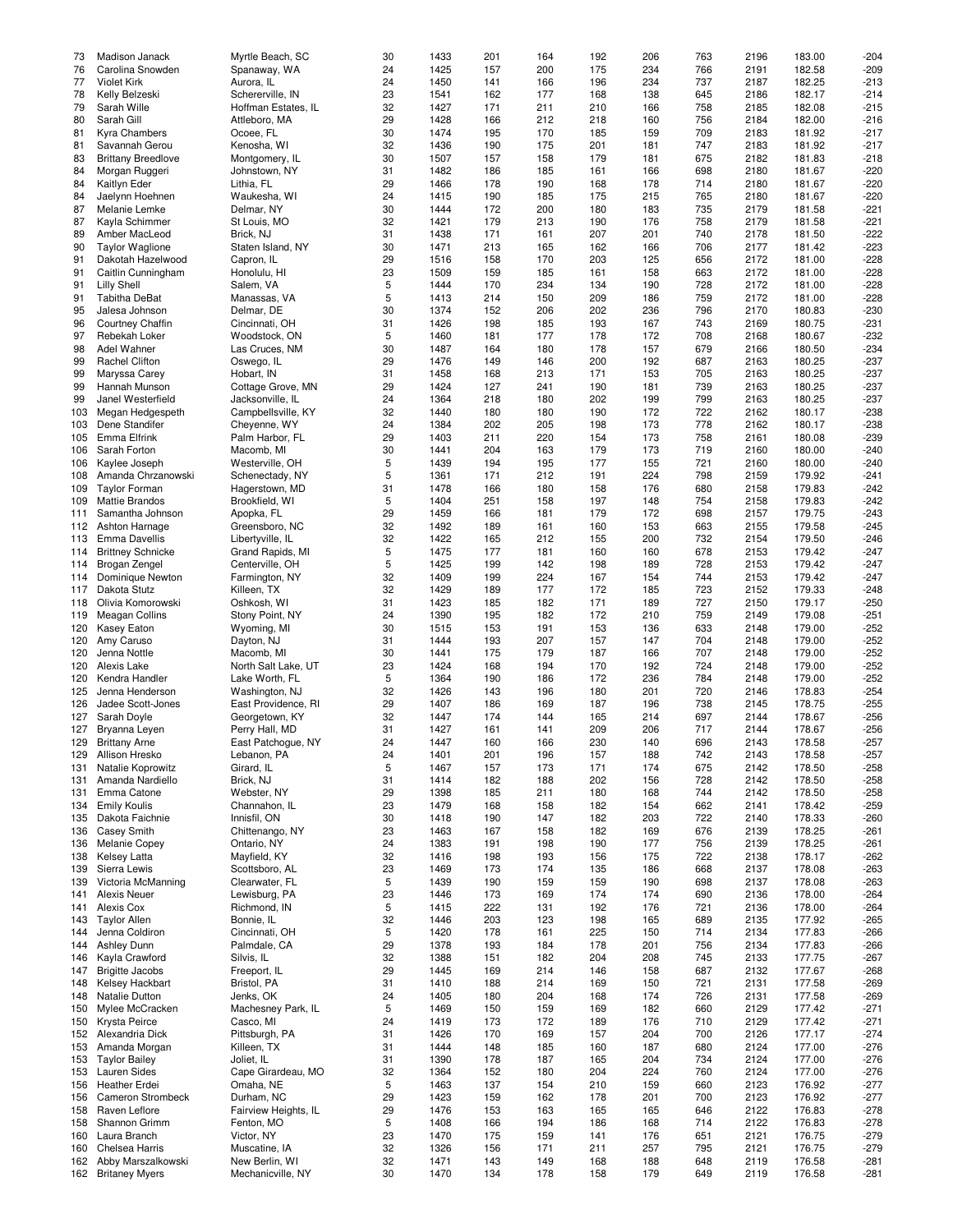| 73  | Madison Janack            | Myrtle Beach, SC     | 30 | 1433 | 201 | 164 | 192 | 206 | 763 | 2196 | 183.00 | $-204$ |
|-----|---------------------------|----------------------|----|------|-----|-----|-----|-----|-----|------|--------|--------|
|     |                           |                      |    |      |     |     |     |     |     |      |        |        |
| 76  | Carolina Snowden          | Spanaway, WA         | 24 | 1425 | 157 | 200 | 175 | 234 | 766 | 2191 | 182.58 | $-209$ |
| 77  | <b>Violet Kirk</b>        | Aurora, IL           | 24 | 1450 | 141 | 166 | 196 | 234 | 737 | 2187 | 182.25 | $-213$ |
| 78  | Kelly Belzeski            | Schererville, IN     | 23 | 1541 | 162 | 177 | 168 | 138 | 645 | 2186 | 182.17 | $-214$ |
| 79  | Sarah Wille               | Hoffman Estates, IL  | 32 | 1427 | 171 | 211 | 210 | 166 | 758 | 2185 | 182.08 | $-215$ |
| 80  | Sarah Gill                | Attleboro, MA        | 29 | 1428 | 166 | 212 | 218 | 160 | 756 | 2184 | 182.00 | $-216$ |
|     |                           |                      |    |      |     |     |     |     |     |      |        |        |
| 81  | Kyra Chambers             | Ocoee, FL            | 30 | 1474 | 195 | 170 | 185 | 159 | 709 | 2183 | 181.92 | $-217$ |
| 81  | Savannah Gerou            | Kenosha, WI          | 32 | 1436 | 190 | 175 | 201 | 181 | 747 | 2183 | 181.92 | $-217$ |
| 83  | <b>Brittany Breedlove</b> | Montgomery, IL       | 30 | 1507 | 157 | 158 | 179 | 181 | 675 | 2182 | 181.83 | $-218$ |
| 84  |                           |                      | 31 | 1482 |     | 185 |     |     | 698 |      | 181.67 | $-220$ |
|     | Morgan Ruggeri            | Johnstown, NY        |    |      | 186 |     | 161 | 166 |     | 2180 |        |        |
| 84  | Kaitlyn Eder              | Lithia, FL           | 29 | 1466 | 178 | 190 | 168 | 178 | 714 | 2180 | 181.67 | $-220$ |
| 84  | Jaelynn Hoehnen           | Waukesha, WI         | 24 | 1415 | 190 | 185 | 175 | 215 | 765 | 2180 | 181.67 | $-220$ |
| 87  | Melanie Lemke             | Delmar, NY           | 30 | 1444 | 172 | 200 | 180 | 183 | 735 | 2179 | 181.58 | $-221$ |
| 87  | Kayla Schimmer            | St Louis, MO         | 32 | 1421 | 179 | 213 | 190 | 176 | 758 | 2179 | 181.58 | $-221$ |
|     |                           |                      |    |      |     |     |     |     |     |      |        |        |
| 89  | Amber MacLeod             | Brick, NJ            | 31 | 1438 | 171 | 161 | 207 | 201 | 740 | 2178 | 181.50 | $-222$ |
| 90  | <b>Taylor Waglione</b>    | Staten Island, NY    | 30 | 1471 | 213 | 165 | 162 | 166 | 706 | 2177 | 181.42 | $-223$ |
| 91  | Dakotah Hazelwood         | Capron, IL           | 29 | 1516 | 158 | 170 | 203 | 125 | 656 | 2172 | 181.00 | $-228$ |
| 91  | Caitlin Cunningham        | Honolulu, HI         | 23 | 1509 | 159 | 185 | 161 | 158 | 663 | 2172 | 181.00 | $-228$ |
|     |                           |                      |    |      |     |     |     |     |     |      |        |        |
| 91  | <b>Lilly Shell</b>        | Salem, VA            | 5  | 1444 | 170 | 234 | 134 | 190 | 728 | 2172 | 181.00 | $-228$ |
| 91  | <b>Tabitha DeBat</b>      | Manassas, VA         | 5  | 1413 | 214 | 150 | 209 | 186 | 759 | 2172 | 181.00 | $-228$ |
| 95  | Jalesa Johnson            | Delmar, DE           | 30 | 1374 | 152 | 206 | 202 | 236 | 796 | 2170 | 180.83 | $-230$ |
| 96  | Courtney Chaffin          | Cincinnati, OH       | 31 | 1426 | 198 | 185 | 193 | 167 | 743 | 2169 | 180.75 | $-231$ |
|     |                           |                      |    |      |     |     |     |     |     |      |        |        |
| 97  | Rebekah Loker             | Woodstock, ON        | 5  | 1460 | 181 | 177 | 178 | 172 | 708 | 2168 | 180.67 | $-232$ |
| 98  | Adel Wahner               | Las Cruces, NM       | 30 | 1487 | 164 | 180 | 178 | 157 | 679 | 2166 | 180.50 | $-234$ |
| 99  | <b>Rachel Clifton</b>     | Oswego, IL           | 29 | 1476 | 149 | 146 | 200 | 192 | 687 | 2163 | 180.25 | $-237$ |
| 99  | Maryssa Carey             | Hobart, IN           | 31 | 1458 | 168 | 213 | 171 | 153 | 705 | 2163 | 180.25 | $-237$ |
|     |                           |                      |    |      |     |     |     |     |     |      |        |        |
| 99  | Hannah Munson             | Cottage Grove, MN    | 29 | 1424 | 127 | 241 | 190 | 181 | 739 | 2163 | 180.25 | $-237$ |
| 99  | Janel Westerfield         | Jacksonville, IL     | 24 | 1364 | 218 | 180 | 202 | 199 | 799 | 2163 | 180.25 | $-237$ |
| 103 | Megan Hedgespeth          | Campbellsville, KY   | 32 | 1440 | 180 | 180 | 190 | 172 | 722 | 2162 | 180.17 | $-238$ |
| 103 | Dene Standifer            | Cheyenne, WY         | 24 | 1384 | 202 | 205 | 198 | 173 | 778 | 2162 | 180.17 | $-238$ |
|     |                           |                      |    |      |     |     |     |     |     |      |        |        |
| 105 | Emma Elfrink              | Palm Harbor, FL      | 29 | 1403 | 211 | 220 | 154 | 173 | 758 | 2161 | 180.08 | $-239$ |
| 106 | Sarah Forton              | Macomb, MI           | 30 | 1441 | 204 | 163 | 179 | 173 | 719 | 2160 | 180.00 | $-240$ |
| 106 | Kaylee Joseph             | Westerville, OH      | 5  | 1439 | 194 | 195 | 177 | 155 | 721 | 2160 | 180.00 | $-240$ |
| 108 | Amanda Chrzanowski        | Schenectady, NY      | 5  | 1361 | 171 | 212 | 191 | 224 | 798 | 2159 | 179.92 | $-241$ |
|     |                           |                      |    |      |     |     |     |     |     |      |        |        |
| 109 | <b>Taylor Forman</b>      | Hagerstown, MD       | 31 | 1478 | 166 | 180 | 158 | 176 | 680 | 2158 | 179.83 | $-242$ |
| 109 | <b>Mattie Brandos</b>     | Brookfield, WI       | 5  | 1404 | 251 | 158 | 197 | 148 | 754 | 2158 | 179.83 | $-242$ |
| 111 | Samantha Johnson          | Apopka, FL           | 29 | 1459 | 166 | 181 | 179 | 172 | 698 | 2157 | 179.75 | $-243$ |
| 112 | Ashton Harnage            | Greensboro, NC       | 32 | 1492 | 189 | 161 | 160 | 153 | 663 | 2155 | 179.58 | $-245$ |
|     |                           |                      |    |      |     |     |     |     |     |      |        |        |
| 113 | <b>Emma Davellis</b>      | Libertyville, IL     | 32 | 1422 | 165 | 212 | 155 | 200 | 732 | 2154 | 179.50 | $-246$ |
| 114 | <b>Brittney Schnicke</b>  | Grand Rapids, MI     | 5  | 1475 | 177 | 181 | 160 | 160 | 678 | 2153 | 179.42 | $-247$ |
| 114 | Brogan Zengel             | Centerville, OH      | 5  | 1425 | 199 | 142 | 198 | 189 | 728 | 2153 | 179.42 | $-247$ |
| 114 | Dominique Newton          | Farmington, NY       | 32 | 1409 | 199 | 224 | 167 | 154 | 744 | 2153 | 179.42 | $-247$ |
|     |                           |                      |    |      |     |     |     |     |     |      |        |        |
| 117 | Dakota Stutz              | Killeen, TX          | 32 | 1429 | 189 | 177 | 172 | 185 | 723 | 2152 | 179.33 | $-248$ |
| 118 | Olivia Komorowski         | Oshkosh, WI          | 31 | 1423 | 185 | 182 | 171 | 189 | 727 | 2150 | 179.17 | $-250$ |
| 119 | Meagan Collins            | Stony Point, NY      | 24 | 1390 | 195 | 182 | 172 | 210 | 759 | 2149 | 179.08 | $-251$ |
| 120 | Kasey Eaton               | Wyoming, MI          | 30 | 1515 | 153 | 191 | 153 | 136 | 633 | 2148 | 179.00 | $-252$ |
|     |                           |                      |    |      |     |     |     |     |     |      |        |        |
| 120 | Amy Caruso                | Dayton, NJ           | 31 | 1444 | 193 | 207 | 157 | 147 | 704 | 2148 | 179.00 | $-252$ |
| 120 | Jenna Nottle              | Macomb, MI           | 30 | 1441 | 175 | 179 | 187 | 166 | 707 | 2148 | 179.00 | $-252$ |
| 120 | Alexis Lake               | North Salt Lake, UT  | 23 | 1424 | 168 | 194 | 170 | 192 | 724 | 2148 | 179.00 | $-252$ |
| 120 | Kendra Handler            | Lake Worth, FL       | 5  | 1364 | 190 | 186 | 172 | 236 | 784 | 2148 | 179.00 | $-252$ |
|     |                           |                      |    |      |     |     |     |     |     |      |        |        |
| 125 | Jenna Henderson           | Washington, NJ       | 32 | 1426 | 143 | 196 | 180 | 201 | 720 | 2146 | 178.83 | $-254$ |
| 126 | Jadee Scott-Jones         | East Providence, RI  | 29 | 1407 | 186 | 169 | 187 | 196 | 738 | 2145 | 178.75 | $-255$ |
| 127 | Sarah Doyle               | Georgetown, KY       | 32 | 1447 | 174 | 144 | 165 | 214 | 697 | 2144 | 178.67 | $-256$ |
| 127 | Bryanna Leyen             | Perry Hall, MD       | 31 | 1427 | 161 | 141 | 209 | 206 | 717 | 2144 | 178.67 | $-256$ |
|     |                           |                      |    |      |     |     |     |     |     |      |        |        |
| 129 | <b>Brittany Arne</b>      | East Patchogue, NY   | 24 | 1447 | 160 | 166 | 230 | 140 | 696 | 2143 | 178.58 | $-257$ |
| 129 | Allison Hresko            | Lebanon, PA          | 24 | 1401 | 201 | 196 | 157 | 188 | 742 | 2143 | 178.58 | $-257$ |
| 131 | Natalie Koprowitz         | Girard, IL           | 5  | 1467 | 157 | 173 | 171 | 174 | 675 | 2142 | 178.50 | $-258$ |
| 131 | Amanda Nardiello          | Brick, NJ            | 31 | 1414 | 182 | 188 | 202 | 156 | 728 | 2142 | 178.50 | $-258$ |
|     |                           |                      |    |      |     |     |     |     |     |      |        |        |
| 131 | Emma Catone               | Webster, NY          | 29 | 1398 | 185 | 211 | 180 | 168 | 744 | 2142 | 178.50 | $-258$ |
| 134 | <b>Emily Koulis</b>       | Channahon, IL        | 23 | 1479 | 168 | 158 | 182 | 154 | 662 | 2141 | 178.42 | $-259$ |
| 135 | Dakota Faichnie           | Innisfil, ON         | 30 | 1418 | 190 | 147 | 182 | 203 | 722 | 2140 | 178.33 | $-260$ |
| 136 | <b>Casey Smith</b>        | Chittenango, NY      | 23 | 1463 | 167 | 158 | 182 | 169 | 676 | 2139 | 178.25 | $-261$ |
| 136 | <b>Melanie Copey</b>      | Ontario, NY          | 24 | 1383 | 191 | 198 | 190 | 177 | 756 | 2139 | 178.25 | $-261$ |
|     |                           |                      |    |      |     |     |     |     |     |      |        |        |
| 138 | Kelsey Latta              | Mayfield, KY         | 32 | 1416 | 198 | 193 | 156 | 175 | 722 | 2138 | 178.17 | $-262$ |
| 139 | Sierra Lewis              | Scottsboro, AL       | 23 | 1469 | 173 | 174 | 135 | 186 | 668 | 2137 | 178.08 | $-263$ |
| 139 | Victoria McManning        | Clearwater, FL       | 5  | 1439 | 190 | 159 | 159 | 190 | 698 | 2137 | 178.08 | $-263$ |
| 141 | Alexis Neuer              | Lewisburg, PA        | 23 | 1446 | 173 | 169 | 174 | 174 | 690 | 2136 | 178.00 | $-264$ |
|     |                           |                      |    |      |     |     |     |     |     |      |        |        |
| 141 | Alexis Cox                | Richmond, IN         | 5  | 1415 | 222 | 131 | 192 | 176 | 721 | 2136 | 178.00 | $-264$ |
| 143 | <b>Taylor Allen</b>       | Bonnie, IL           | 32 | 1446 | 203 | 123 | 198 | 165 | 689 | 2135 | 177.92 | $-265$ |
| 144 | Jenna Coldiron            | Cincinnati, OH       | 5  | 1420 | 178 | 161 | 225 | 150 | 714 | 2134 | 177.83 | $-266$ |
| 144 | <b>Ashley Dunn</b>        | Palmdale, CA         | 29 | 1378 | 193 | 184 | 178 | 201 | 756 | 2134 | 177.83 | $-266$ |
|     |                           |                      |    |      |     |     |     |     |     |      |        |        |
| 146 | Kayla Crawford            | Silvis, IL           | 32 | 1388 | 151 | 182 | 204 | 208 | 745 | 2133 | 177.75 | $-267$ |
| 147 | <b>Brigitte Jacobs</b>    | Freeport, IL         | 29 | 1445 | 169 | 214 | 146 | 158 | 687 | 2132 | 177.67 | $-268$ |
| 148 | Kelsey Hackbart           | Bristol, PA          | 31 | 1410 | 188 | 214 | 169 | 150 | 721 | 2131 | 177.58 | $-269$ |
| 148 | Natalie Dutton            | Jenks, OK            | 24 | 1405 | 180 | 204 | 168 | 174 | 726 | 2131 | 177.58 | $-269$ |
|     |                           |                      |    |      |     |     |     |     |     |      |        |        |
| 150 | Mylee McCracken           | Machesney Park, IL   | 5  | 1469 | 150 | 159 | 169 | 182 | 660 | 2129 | 177.42 | $-271$ |
| 150 | Krysta Peirce             | Casco, MI            | 24 | 1419 | 173 | 172 | 189 | 176 | 710 | 2129 | 177.42 | $-271$ |
| 152 | Alexandria Dick           | Pittsburgh, PA       | 31 | 1426 | 170 | 169 | 157 | 204 | 700 | 2126 | 177.17 | $-274$ |
| 153 | Amanda Morgan             | Killeen, TX          | 31 | 1444 | 148 | 185 | 160 | 187 | 680 | 2124 | 177.00 | $-276$ |
|     |                           |                      |    |      |     |     |     |     |     |      |        |        |
| 153 | <b>Taylor Bailey</b>      | Joliet, IL           | 31 | 1390 | 178 | 187 | 165 | 204 | 734 | 2124 | 177.00 | $-276$ |
| 153 | <b>Lauren Sides</b>       | Cape Girardeau, MO   | 32 | 1364 | 152 | 180 | 204 | 224 | 760 | 2124 | 177.00 | $-276$ |
| 156 | Heather Erdei             | Omaha, NE            | 5  | 1463 | 137 | 154 | 210 | 159 | 660 | 2123 | 176.92 | $-277$ |
| 156 | Cameron Strombeck         | Durham, NC           | 29 | 1423 | 159 | 162 | 178 | 201 | 700 | 2123 | 176.92 | $-277$ |
|     |                           |                      |    |      |     |     |     |     |     |      |        |        |
| 158 | Raven Leflore             | Fairview Heights, IL | 29 | 1476 | 153 | 163 | 165 | 165 | 646 | 2122 | 176.83 | $-278$ |
| 158 | Shannon Grimm             | Fenton, MO           | 5  | 1408 | 166 | 194 | 186 | 168 | 714 | 2122 | 176.83 | $-278$ |
| 160 | Laura Branch              | Victor, NY           | 23 | 1470 | 175 | 159 | 141 | 176 | 651 | 2121 | 176.75 | $-279$ |
| 160 | Chelsea Harris            | Muscatine, IA        | 32 | 1326 | 156 | 171 | 211 | 257 | 795 | 2121 | 176.75 | $-279$ |
| 162 | Abby Marszalkowski        | New Berlin, WI       | 32 | 1471 | 143 | 149 | 168 | 188 | 648 | 2119 | 176.58 | $-281$ |
|     |                           |                      |    |      |     |     |     |     |     |      |        |        |
| 162 | <b>Britaney Myers</b>     | Mechanicville, NY    | 30 | 1470 | 134 | 178 | 158 | 179 | 649 | 2119 | 176.58 | $-281$ |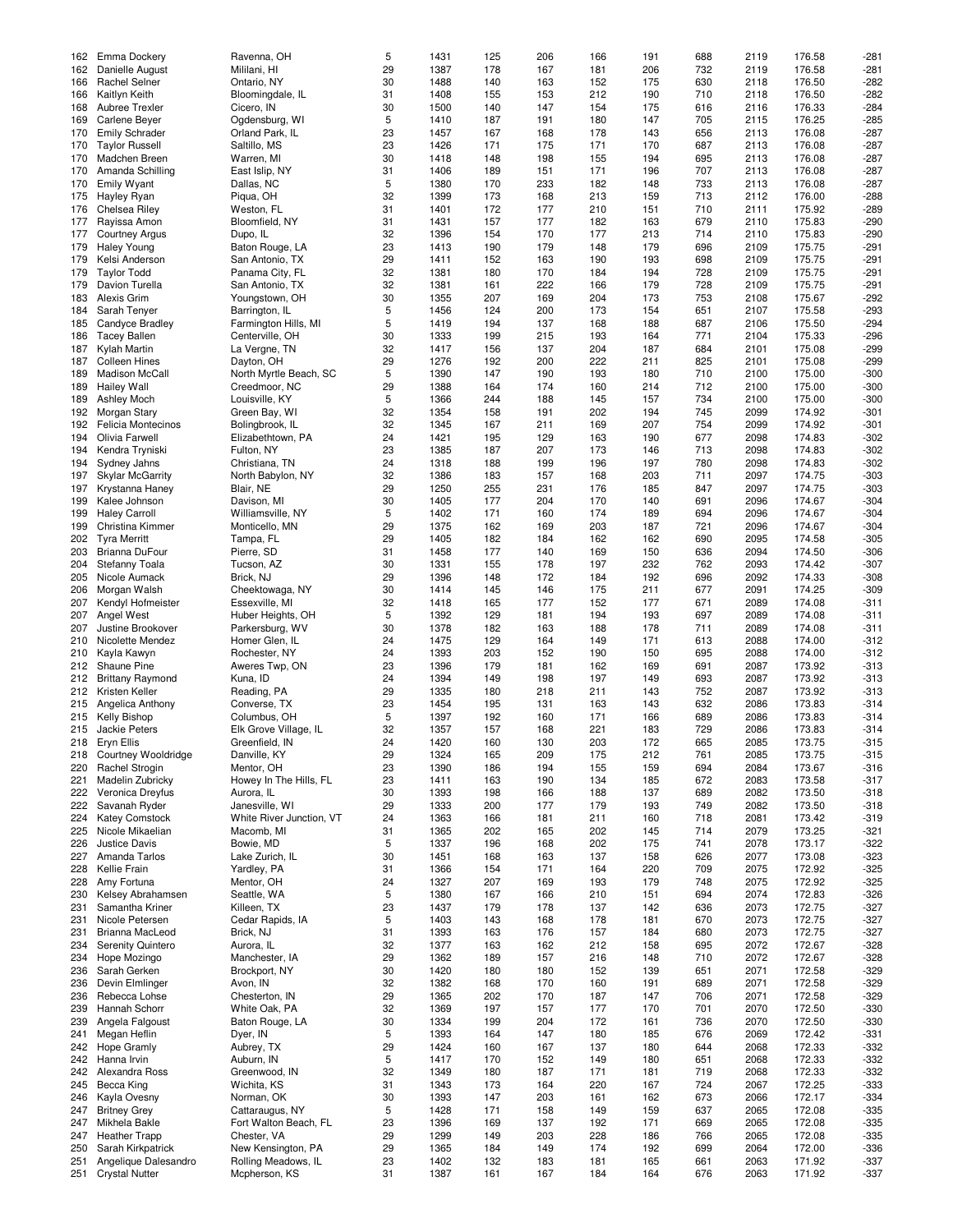| 162 | Emma Dockery            | Ravenna, OH              | 5  | 1431 | 125 | 206 | 166 | 191 | 688 | 2119 | 176.58 | $-281$ |
|-----|-------------------------|--------------------------|----|------|-----|-----|-----|-----|-----|------|--------|--------|
| 162 | Danielle August         | Mililani, HI             | 29 | 1387 | 178 | 167 | 181 | 206 | 732 | 2119 | 176.58 | $-281$ |
| 166 | Rachel Selner           | Ontario, NY              | 30 | 1488 | 140 | 163 | 152 | 175 | 630 | 2118 | 176.50 | $-282$ |
| 166 | Kaitlyn Keith           | Bloomingdale, IL         | 31 | 1408 | 155 | 153 | 212 | 190 | 710 | 2118 | 176.50 | $-282$ |
| 168 | Aubree Trexler          | Cicero, IN               | 30 | 1500 | 140 | 147 | 154 | 175 | 616 | 2116 | 176.33 | $-284$ |
| 169 | Carlene Beyer           |                          | 5  | 1410 | 187 | 191 | 180 | 147 | 705 | 2115 | 176.25 | $-285$ |
|     |                         | Ogdensburg, WI           |    |      |     |     |     |     |     |      |        |        |
| 170 | <b>Emily Schrader</b>   | Orland Park, IL          | 23 | 1457 | 167 | 168 | 178 | 143 | 656 | 2113 | 176.08 | $-287$ |
| 170 | <b>Taylor Russell</b>   | Saltillo, MS             | 23 | 1426 | 171 | 175 | 171 | 170 | 687 | 2113 | 176.08 | $-287$ |
| 170 | Madchen Breen           | Warren, MI               | 30 | 1418 | 148 | 198 | 155 | 194 | 695 | 2113 | 176.08 | $-287$ |
| 170 | Amanda Schilling        | East Islip, NY           | 31 | 1406 | 189 | 151 | 171 | 196 | 707 | 2113 | 176.08 | $-287$ |
| 170 | Emily Wyant             | Dallas, NC               | 5  | 1380 | 170 | 233 | 182 | 148 | 733 | 2113 | 176.08 | $-287$ |
|     |                         |                          |    |      |     |     |     |     |     |      |        |        |
| 175 | Hayley Ryan             | Piqua, OH                | 32 | 1399 | 173 | 168 | 213 | 159 | 713 | 2112 | 176.00 | $-288$ |
| 176 | <b>Chelsea Riley</b>    | Weston, FL               | 31 | 1401 | 172 | 177 | 210 | 151 | 710 | 2111 | 175.92 | $-289$ |
| 177 | Rayissa Amon            | Bloomfield, NY           | 31 | 1431 | 157 | 177 | 182 | 163 | 679 | 2110 | 175.83 | $-290$ |
| 177 | <b>Courtney Argus</b>   | Dupo, IL                 | 32 | 1396 | 154 | 170 | 177 | 213 | 714 | 2110 | 175.83 | $-290$ |
| 179 | <b>Haley Young</b>      | Baton Rouge, LA          | 23 | 1413 | 190 | 179 | 148 | 179 | 696 | 2109 | 175.75 | $-291$ |
|     |                         |                          |    |      |     |     |     |     |     |      |        |        |
| 179 | Kelsi Anderson          | San Antonio, TX          | 29 | 1411 | 152 | 163 | 190 | 193 | 698 | 2109 | 175.75 | $-291$ |
| 179 | <b>Taylor Todd</b>      | Panama City, FL          | 32 | 1381 | 180 | 170 | 184 | 194 | 728 | 2109 | 175.75 | $-291$ |
| 179 | Davion Turella          | San Antonio, TX          | 32 | 1381 | 161 | 222 | 166 | 179 | 728 | 2109 | 175.75 | $-291$ |
| 183 | Alexis Grim             | Youngstown, OH           | 30 | 1355 | 207 | 169 | 204 | 173 | 753 | 2108 | 175.67 | $-292$ |
| 184 | Sarah Tenyer            | Barrington, IL           | 5  | 1456 | 124 | 200 | 173 | 154 | 651 | 2107 | 175.58 | $-293$ |
| 185 | <b>Candyce Bradley</b>  | Farmington Hills, MI     | 5  | 1419 | 194 | 137 | 168 | 188 | 687 | 2106 | 175.50 | $-294$ |
|     |                         |                          |    |      |     |     |     |     |     |      |        |        |
| 186 | <b>Tacey Ballen</b>     | Centerville, OH          | 30 | 1333 | 199 | 215 | 193 | 164 | 771 | 2104 | 175.33 | $-296$ |
| 187 | Kylah Martin            | La Vergne, TN            | 32 | 1417 | 156 | 137 | 204 | 187 | 684 | 2101 | 175.08 | $-299$ |
| 187 | <b>Colleen Hines</b>    | Dayton, OH               | 29 | 1276 | 192 | 200 | 222 | 211 | 825 | 2101 | 175.08 | $-299$ |
| 189 | <b>Madison McCall</b>   | North Myrtle Beach, SC   | 5  | 1390 | 147 | 190 | 193 | 180 | 710 | 2100 | 175.00 | $-300$ |
| 189 | <b>Hailey Wall</b>      | Creedmoor, NC            | 29 | 1388 | 164 | 174 | 160 | 214 | 712 | 2100 | 175.00 | $-300$ |
| 189 | <b>Ashley Moch</b>      | Louisville, KY           | 5  | 1366 | 244 | 188 | 145 | 157 | 734 | 2100 | 175.00 | $-300$ |
|     |                         |                          |    |      |     |     |     |     |     |      |        |        |
| 192 | Morgan Stary            | Green Bay, WI            | 32 | 1354 | 158 | 191 | 202 | 194 | 745 | 2099 | 174.92 | $-301$ |
| 192 | Felicia Montecinos      | Bolingbrook, IL          | 32 | 1345 | 167 | 211 | 169 | 207 | 754 | 2099 | 174.92 | $-301$ |
| 194 | Olivia Farwell          | Elizabethtown, PA        | 24 | 1421 | 195 | 129 | 163 | 190 | 677 | 2098 | 174.83 | $-302$ |
| 194 | Kendra Tryniski         | Fulton, NY               | 23 | 1385 | 187 | 207 | 173 | 146 | 713 | 2098 | 174.83 | $-302$ |
| 194 | Sydney Jahns            | Christiana, TN           | 24 | 1318 | 188 | 199 | 196 | 197 | 780 | 2098 | 174.83 | $-302$ |
|     |                         |                          |    |      |     |     |     |     |     |      |        |        |
| 197 | <b>Skylar McGarrity</b> | North Babylon, NY        | 32 | 1386 | 183 | 157 | 168 | 203 | 711 | 2097 | 174.75 | $-303$ |
| 197 | Krystanna Haney         | Blair, NE                | 29 | 1250 | 255 | 231 | 176 | 185 | 847 | 2097 | 174.75 | $-303$ |
| 199 | Kalee Johnson           | Davison, MI              | 30 | 1405 | 177 | 204 | 170 | 140 | 691 | 2096 | 174.67 | $-304$ |
| 199 | <b>Haley Carroll</b>    | Williamsville, NY        | 5  | 1402 | 171 | 160 | 174 | 189 | 694 | 2096 | 174.67 | $-304$ |
| 199 | Christina Kimmer        | Monticello, MN           | 29 | 1375 | 162 | 169 | 203 | 187 | 721 | 2096 | 174.67 | $-304$ |
| 202 | <b>Tyra Merritt</b>     | Tampa, FL                | 29 | 1405 | 182 | 184 | 162 | 162 | 690 | 2095 | 174.58 | $-305$ |
| 203 |                         |                          | 31 | 1458 |     |     | 169 |     |     |      |        | $-306$ |
|     | Brianna DuFour          | Pierre, SD               |    |      | 177 | 140 |     | 150 | 636 | 2094 | 174.50 |        |
| 204 | Stefanny Toala          | Tucson, AZ               | 30 | 1331 | 155 | 178 | 197 | 232 | 762 | 2093 | 174.42 | $-307$ |
| 205 | Nicole Aumack           | Brick, NJ                | 29 | 1396 | 148 | 172 | 184 | 192 | 696 | 2092 | 174.33 | $-308$ |
| 206 | Morgan Walsh            | Cheektowaga, NY          | 30 | 1414 | 145 | 146 | 175 | 211 | 677 | 2091 | 174.25 | $-309$ |
| 207 | Kendyl Hofmeister       | Essexville, MI           | 32 | 1418 | 165 | 177 | 152 | 177 | 671 | 2089 | 174.08 | $-311$ |
| 207 | Angel West              | Huber Heights, OH        | 5  | 1392 | 129 | 181 | 194 | 193 | 697 | 2089 | 174.08 | $-311$ |
| 207 | Justine Brookover       | Parkersburg, WV          | 30 | 1378 | 182 | 163 | 188 | 178 | 711 | 2089 | 174.08 | $-311$ |
|     |                         |                          |    |      |     |     |     |     |     |      |        |        |
| 210 | Nicolette Mendez        | Homer Glen, IL           | 24 | 1475 | 129 | 164 | 149 | 171 | 613 | 2088 | 174.00 | $-312$ |
| 210 | Kayla Kawyn             | Rochester, NY            | 24 | 1393 | 203 | 152 | 190 | 150 | 695 | 2088 | 174.00 | $-312$ |
| 212 | Shaune Pine             | Aweres Twp, ON           | 23 | 1396 | 179 | 181 | 162 | 169 | 691 | 2087 | 173.92 | $-313$ |
| 212 | <b>Brittany Raymond</b> | Kuna, ID                 | 24 | 1394 | 149 | 198 | 197 | 149 | 693 | 2087 | 173.92 | $-313$ |
| 212 | Kristen Keller          | Reading, PA              | 29 | 1335 | 180 | 218 | 211 | 143 | 752 | 2087 | 173.92 | $-313$ |
| 215 | Angelica Anthony        |                          | 23 | 1454 |     | 131 | 163 |     | 632 |      |        | $-314$ |
|     |                         | Converse, TX             |    |      | 195 |     |     | 143 |     | 2086 | 173.83 |        |
| 215 | Kelly Bishop            | Columbus, OH             | 5  | 1397 | 192 | 160 | 171 | 166 | 689 | 2086 | 173.83 | $-314$ |
| 215 | <b>Jackie Peters</b>    | Elk Grove Village, IL    | 32 | 1357 | 157 | 168 | 221 | 183 | 729 | 2086 | 173.83 | $-314$ |
| 218 | Eryn Ellis              | Greenfield, IN           | 24 | 1420 | 160 | 130 | 203 | 172 | 665 | 2085 | 173.75 | $-315$ |
| 218 | Courtney Wooldridge     | Danville, KY             | 29 | 1324 | 165 | 209 | 175 | 212 | 761 | 2085 | 173.75 | $-315$ |
| 220 | Rachel Strogin          | Mentor, OH               | 23 | 1390 | 186 | 194 | 155 | 159 | 694 | 2084 | 173.67 | $-316$ |
| 221 | Madelin Zubricky        | Howey In The Hills, FL   | 23 | 1411 | 163 | 190 | 134 | 185 | 672 | 2083 | 173.58 | $-317$ |
|     |                         | Aurora, IL               |    | 1393 |     |     |     |     |     |      |        |        |
| 222 | Veronica Dreyfus        |                          | 30 |      | 198 | 166 | 188 | 137 | 689 | 2082 | 173.50 | $-318$ |
| 222 | Savanah Ryder           | Janesville, WI           | 29 | 1333 | 200 | 177 | 179 | 193 | 749 | 2082 | 173.50 | $-318$ |
| 224 | Katey Comstock          | White River Junction, VT | 24 | 1363 | 166 | 181 | 211 | 160 | 718 | 2081 | 173.42 | $-319$ |
| 225 | Nicole Mikaelian        | Macomb, MI               | 31 | 1365 | 202 | 165 | 202 | 145 | 714 | 2079 | 173.25 | $-321$ |
| 226 | Justice Davis           | Bowie, MD                | 5  | 1337 | 196 | 168 | 202 | 175 | 741 | 2078 | 173.17 | $-322$ |
| 227 | Amanda Tarlos           | Lake Zurich, IL          | 30 | 1451 | 168 | 163 | 137 | 158 | 626 | 2077 | 173.08 | $-323$ |
| 228 | Kellie Frain            | Yardley, PA              | 31 | 1366 | 154 | 171 | 164 | 220 | 709 | 2075 | 172.92 | $-325$ |
|     |                         |                          |    |      |     |     |     |     |     |      |        |        |
| 228 | Amy Fortuna             | Mentor, OH               | 24 | 1327 | 207 | 169 | 193 | 179 | 748 | 2075 | 172.92 | $-325$ |
| 230 | Kelsey Abrahamsen       | Seattle, WA              | 5  | 1380 | 167 | 166 | 210 | 151 | 694 | 2074 | 172.83 | $-326$ |
| 231 | Samantha Kriner         | Killeen, TX              | 23 | 1437 | 179 | 178 | 137 | 142 | 636 | 2073 | 172.75 | $-327$ |
| 231 | Nicole Petersen         | Cedar Rapids, IA         | 5  | 1403 | 143 | 168 | 178 | 181 | 670 | 2073 | 172.75 | $-327$ |
| 231 | Brianna MacLeod         | Brick, NJ                | 31 | 1393 | 163 | 176 | 157 | 184 | 680 | 2073 | 172.75 | $-327$ |
| 234 | Serenity Quintero       | Aurora, IL               | 32 | 1377 | 163 | 162 | 212 | 158 | 695 | 2072 | 172.67 | $-328$ |
| 234 |                         | Manchester, IA           |    | 1362 |     | 157 | 216 |     |     |      | 172.67 |        |
|     | Hope Mozingo            |                          | 29 |      | 189 |     |     | 148 | 710 | 2072 |        | $-328$ |
| 236 | Sarah Gerken            | Brockport, NY            | 30 | 1420 | 180 | 180 | 152 | 139 | 651 | 2071 | 172.58 | $-329$ |
| 236 | Devin Elmlinger         | Avon, IN                 | 32 | 1382 | 168 | 170 | 160 | 191 | 689 | 2071 | 172.58 | $-329$ |
| 236 | Rebecca Lohse           | Chesterton, IN           | 29 | 1365 | 202 | 170 | 187 | 147 | 706 | 2071 | 172.58 | $-329$ |
| 239 | Hannah Schorr           | White Oak, PA            | 32 | 1369 | 197 | 157 | 177 | 170 | 701 | 2070 | 172.50 | $-330$ |
| 239 | Angela Falgoust         | Baton Rouge, LA          | 30 | 1334 | 199 | 204 | 172 | 161 | 736 | 2070 | 172.50 | $-330$ |
| 241 | Megan Heflin            | Dyer, IN                 | 5  | 1393 | 164 | 147 | 180 | 185 | 676 | 2069 | 172.42 | $-331$ |
|     |                         |                          |    |      |     |     |     |     |     |      |        |        |
| 242 | <b>Hope Gramly</b>      | Aubrey, TX               | 29 | 1424 | 160 | 167 | 137 | 180 | 644 | 2068 | 172.33 | $-332$ |
| 242 | Hanna Irvin             | Auburn, IN               | 5  | 1417 | 170 | 152 | 149 | 180 | 651 | 2068 | 172.33 | $-332$ |
| 242 | Alexandra Ross          | Greenwood, IN            | 32 | 1349 | 180 | 187 | 171 | 181 | 719 | 2068 | 172.33 | $-332$ |
| 245 | Becca King              | Wichita, KS              | 31 | 1343 | 173 | 164 | 220 | 167 | 724 | 2067 | 172.25 | $-333$ |
| 246 | Kayla Ovesny            | Norman, OK               | 30 | 1393 | 147 | 203 | 161 | 162 | 673 | 2066 | 172.17 | $-334$ |
| 247 | <b>Britney Grey</b>     | Cattaraugus, NY          | 5  | 1428 | 171 | 158 | 149 | 159 | 637 | 2065 | 172.08 | $-335$ |
|     |                         |                          |    |      |     |     |     |     |     |      |        |        |
|     |                         |                          |    |      |     |     |     |     |     |      |        |        |
| 247 | Mikhela Bakle           | Fort Walton Beach, FL    | 23 | 1396 | 169 | 137 | 192 | 171 | 669 | 2065 | 172.08 | $-335$ |
| 247 | <b>Heather Trapp</b>    | Chester, VA              | 29 | 1299 | 149 | 203 | 228 | 186 | 766 | 2065 | 172.08 | $-335$ |
| 250 | Sarah Kirkpatrick       | New Kensington, PA       | 29 | 1365 | 184 | 149 | 174 | 192 | 699 | 2064 | 172.00 | $-336$ |
| 251 | Angelique Dalesandro    | Rolling Meadows, IL      | 23 | 1402 | 132 | 183 | 181 | 165 | 661 | 2063 | 171.92 | $-337$ |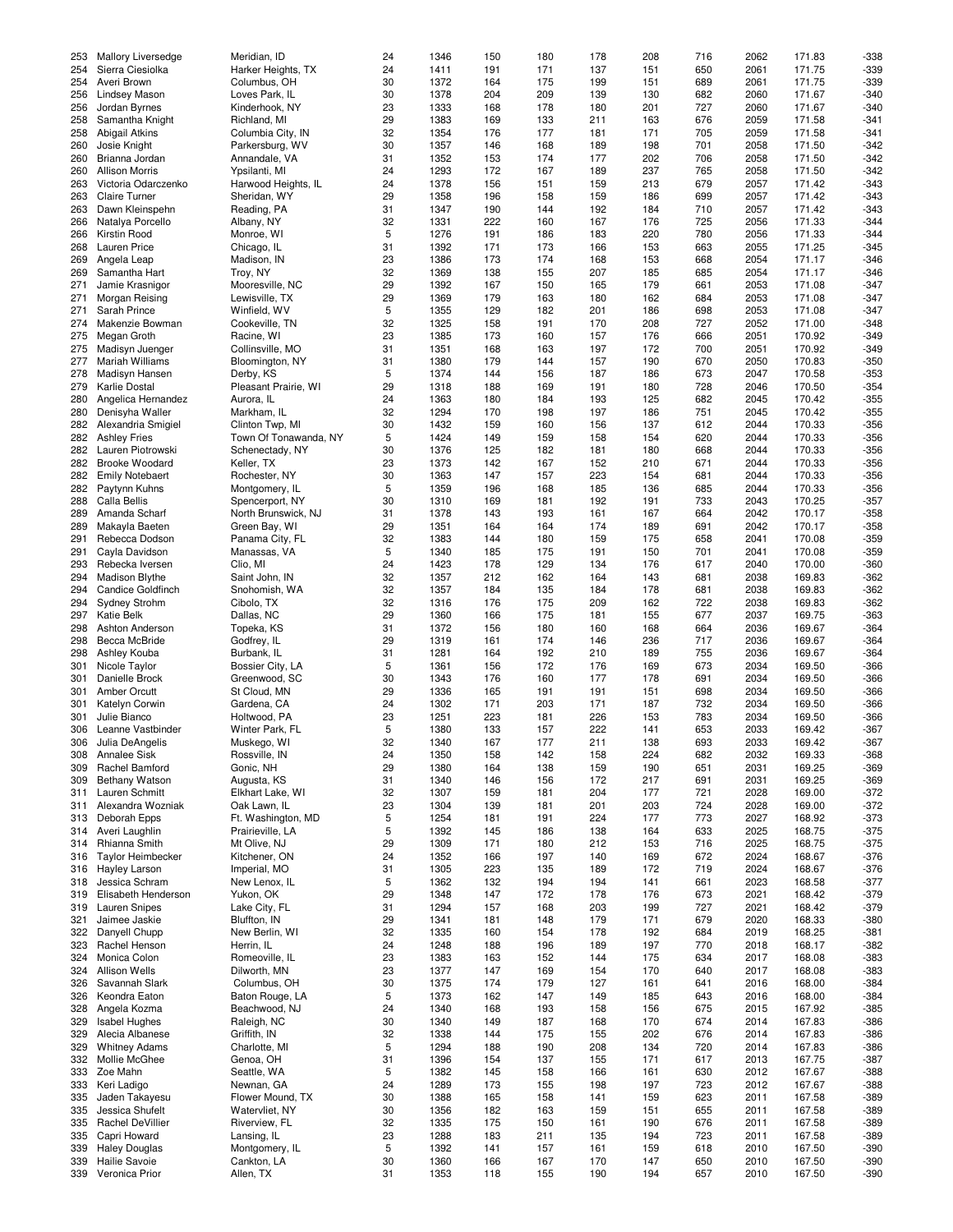| 253 | <b>Mallory Liversedge</b>           | Meridian, ID             | 24       | 1346         | 150        | 180        | 178        | 208        | 716        | 2062         | 171.83           | $-338$         |
|-----|-------------------------------------|--------------------------|----------|--------------|------------|------------|------------|------------|------------|--------------|------------------|----------------|
| 254 | Sierra Ciesiolka                    | Harker Heights, TX       | 24       | 1411         | 191        | 171        | 137        | 151        | 650        | 2061         | 171.75           | $-339$         |
| 254 | Averi Brown                         | Columbus, OH             | 30       | 1372         | 164        | 175        | 199        | 151        | 689        | 2061         | 171.75           | $-339$         |
| 256 | <b>Lindsey Mason</b>                | Loves Park, IL           | 30       | 1378         | 204        | 209        | 139        | 130        | 682        | 2060         | 171.67           | $-340$         |
| 256 | Jordan Byrnes                       | Kinderhook, NY           | 23       | 1333         | 168        | 178        | 180        | 201        | 727        | 2060         | 171.67           | $-340$         |
|     |                                     |                          |          |              |            |            |            |            |            |              |                  |                |
| 258 | Samantha Knight                     | Richland, MI             | 29       | 1383         | 169        | 133        | 211        | 163        | 676        | 2059         | 171.58           | $-341$         |
| 258 | Abigail Atkins                      | Columbia City, IN        | 32       | 1354         | 176        | 177        | 181        | 171        | 705        | 2059         | 171.58           | $-341$         |
| 260 | Josie Knight                        | Parkersburg, WV          | 30       | 1357         | 146        | 168        | 189        | 198        | 701        | 2058         | 171.50           | $-342$         |
| 260 | Brianna Jordan                      | Annandale, VA            | 31       | 1352         | 153        | 174        | 177        | 202        | 706        | 2058         | 171.50           | $-342$         |
|     |                                     |                          |          |              |            |            |            |            |            |              |                  |                |
| 260 | <b>Allison Morris</b>               | Ypsilanti, MI            | 24       | 1293         | 172        | 167        | 189        | 237        | 765        | 2058         | 171.50           | $-342$         |
| 263 | Victoria Odarczenko                 | Harwood Heights, IL      | 24       | 1378         | 156        | 151        | 159        | 213        | 679        | 2057         | 171.42           | $-343$         |
| 263 | <b>Claire Turner</b>                | Sheridan, WY             | 29       | 1358         | 196        | 158        | 159        | 186        | 699        | 2057         | 171.42           | $-343$         |
| 263 | Dawn Kleinspehn                     | Reading, PA              | 31       | 1347         | 190        | 144        | 192        | 184        | 710        | 2057         | 171.42           | $-343$         |
|     |                                     |                          |          |              |            |            |            |            |            |              |                  |                |
| 266 | Natalya Porcello                    | Albany, NY               | 32       | 1331         | 222        | 160        | 167        | 176        | 725        | 2056         | 171.33           | $-344$         |
| 266 | Kirstin Rood                        | Monroe, WI               | 5        | 1276         | 191        | 186        | 183        | 220        | 780        | 2056         | 171.33           | $-344$         |
| 268 | <b>Lauren Price</b>                 | Chicago, IL              | 31       | 1392         | 171        | 173        | 166        | 153        | 663        | 2055         | 171.25           | $-345$         |
| 269 | Angela Leap                         | Madison, IN              | 23       | 1386         | 173        | 174        | 168        | 153        | 668        | 2054         | 171.17           | $-346$         |
| 269 | Samantha Hart                       |                          | 32       | 1369         | 138        | 155        | 207        | 185        | 685        | 2054         | 171.17           | $-346$         |
|     |                                     | Troy, NY                 |          |              |            |            |            |            |            |              |                  |                |
| 271 | Jamie Krasnigor                     | Mooresville, NC          | 29       | 1392         | 167        | 150        | 165        | 179        | 661        | 2053         | 171.08           | $-347$         |
| 271 | Morgan Reising                      | Lewisville, TX           | 29       | 1369         | 179        | 163        | 180        | 162        | 684        | 2053         | 171.08           | $-347$         |
| 271 | Sarah Prince                        | Winfield, WV             | 5        | 1355         | 129        | 182        | 201        | 186        | 698        | 2053         | 171.08           | $-347$         |
| 274 |                                     |                          | 32       | 1325         |            | 191        | 170        | 208        |            | 2052         |                  | $-348$         |
|     | Makenzie Bowman                     | Cookeville, TN           |          |              | 158        |            |            |            | 727        |              | 171.00           |                |
| 275 | Megan Groth                         | Racine, WI               | 23       | 1385         | 173        | 160        | 157        | 176        | 666        | 2051         | 170.92           | $-349$         |
| 275 | Madisyn Juenger                     | Collinsville, MO         | 31       | 1351         | 168        | 163        | 197        | 172        | 700        | 2051         | 170.92           | $-349$         |
| 277 | Mariah Williams                     | Bloomington, NY          | 31       | 1380         | 179        | 144        | 157        | 190        | 670        | 2050         | 170.83           | $-350$         |
| 278 | Madisyn Hansen                      | Derby, KS                | 5        | 1374         | 144        | 156        | 187        | 186        | 673        | 2047         | 170.58           | $-353$         |
|     |                                     |                          |          |              |            |            |            |            |            |              |                  |                |
| 279 | Karlie Dostal                       | Pleasant Prairie, WI     | 29       | 1318         | 188        | 169        | 191        | 180        | 728        | 2046         | 170.50           | $-354$         |
| 280 | Angelica Hernandez                  | Aurora, IL               | 24       | 1363         | 180        | 184        | 193        | 125        | 682        | 2045         | 170.42           | $-355$         |
| 280 | Denisyha Waller                     | Markham, IL              | 32       | 1294         | 170        | 198        | 197        | 186        | 751        | 2045         | 170.42           | $-355$         |
| 282 | Alexandria Smigiel                  | Clinton Twp, MI          | 30       | 1432         | 159        | 160        | 156        | 137        | 612        | 2044         | 170.33           | $-356$         |
|     |                                     |                          |          |              |            |            |            |            |            |              |                  |                |
| 282 | <b>Ashley Fries</b>                 | Town Of Tonawanda, NY    | 5        | 1424         | 149        | 159        | 158        | 154        | 620        | 2044         | 170.33           | $-356$         |
| 282 | Lauren Piotrowski                   | Schenectady, NY          | 30       | 1376         | 125        | 182        | 181        | 180        | 668        | 2044         | 170.33           | $-356$         |
| 282 | <b>Brooke Woodard</b>               | Keller, TX               | 23       | 1373         | 142        | 167        | 152        | 210        | 671        | 2044         | 170.33           | $-356$         |
| 282 | <b>Emily Notebaert</b>              | Rochester, NY            | 30       | 1363         | 147        | 157        | 223        | 154        | 681        | 2044         | 170.33           | $-356$         |
|     |                                     |                          |          |              |            |            |            |            |            |              |                  |                |
| 282 | Paytynn Kuhns                       | Montgomery, IL           | 5        | 1359         | 196        | 168        | 185        | 136        | 685        | 2044         | 170.33           | $-356$         |
| 288 | Calla Bellis                        | Spencerport, NY          | 30       | 1310         | 169        | 181        | 192        | 191        | 733        | 2043         | 170.25           | $-357$         |
| 289 | Amanda Scharf                       | North Brunswick, NJ      | 31       | 1378         | 143        | 193        | 161        | 167        | 664        | 2042         | 170.17           | $-358$         |
| 289 | Makayla Baeten                      | Green Bay, WI            | 29       | 1351         | 164        | 164        | 174        | 189        | 691        | 2042         | 170.17           | $-358$         |
|     |                                     |                          |          |              |            |            |            |            |            |              |                  |                |
| 291 | Rebecca Dodson                      | Panama City, FL          | 32       | 1383         | 144        | 180        | 159        | 175        | 658        | 2041         | 170.08           | $-359$         |
| 291 | Cayla Davidson                      | Manassas, VA             | 5        | 1340         | 185        | 175        | 191        | 150        | 701        | 2041         | 170.08           | $-359$         |
| 293 | Rebecka Iversen                     | Clio, MI                 | 24       | 1423         | 178        | 129        | 134        | 176        | 617        | 2040         | 170.00           | $-360$         |
| 294 | <b>Madison Blythe</b>               | Saint John, IN           | 32       | 1357         | 212        | 162        | 164        | 143        | 681        | 2038         | 169.83           | $-362$         |
| 294 |                                     |                          |          | 1357         |            | 135        | 184        | 178        | 681        | 2038         | 169.83           |                |
|     | <b>Candice Goldfinch</b>            | Snohomish, WA            | 32       |              | 184        |            |            |            |            |              |                  | $-362$         |
| 294 | Sydney Strohm                       | Cibolo, TX               | 32       | 1316         | 176        | 175        | 209        | 162        | 722        | 2038         | 169.83           | $-362$         |
| 297 | <b>Katie Belk</b>                   | Dallas, NC               | 29       | 1360         | 166        | 175        | 181        | 155        | 677        | 2037         | 169.75           | $-363$         |
| 298 | Ashton Anderson                     | Topeka, KS               | 31       | 1372         | 156        | 180        | 160        | 168        | 664        | 2036         | 169.67           | $-364$         |
| 298 | Becca McBride                       | Godfrey, IL              | 29       | 1319         | 161        | 174        | 146        | 236        | 717        | 2036         | 169.67           | $-364$         |
|     |                                     |                          |          |              |            |            |            |            |            |              |                  |                |
| 298 | Ashley Kouba                        | Burbank, IL              | 31       | 1281         | 164        | 192        | 210        | 189        | 755        | 2036         | 169.67           | $-364$         |
| 301 | Nicole Taylor                       | Bossier City, LA         | 5        | 1361         | 156        | 172        | 176        | 169        | 673        | 2034         | 169.50           | $-366$         |
| 301 | Danielle Brock                      | Greenwood, SC            | 30       | 1343         | 176        | 160        | 177        | 178        | 691        | 2034         | 169.50           | $-366$         |
| 301 | Amber Orcutt                        | St Cloud, MN             | 29       | 1336         | 165        | 191        | 191        | 151        | 698        | 2034         | 169.50           | $-366$         |
|     |                                     |                          |          |              |            |            |            |            |            |              |                  |                |
| 301 | Katelyn Corwin                      | Gardena, CA              | 24       | 1302         | 171        | 203        | 171        | 187        | 732        | 2034         | 169.50           | $-366$         |
| 301 | Julie Bianco                        | Holtwood, PA             | 23       | 1251         | 223        | 181        | 226        | 153        | 783        | 2034         | 169.50           | $-366$         |
| 306 | Leanne Vastbinder                   | Winter Park, FL          | 5        | 1380         | 133        | 157        | 222        | 141        | 653        | 2033         | 169.42           | $-367$         |
| 306 | Julia DeAngelis                     | Muskego, WI              | 32       | 1340         | 167        | 177        | 211        | 138        | 693        | 2033         | 169.42           | $-367$         |
|     | <b>Annalee Sisk</b>                 |                          |          |              |            |            |            |            |            |              |                  |                |
| 308 |                                     | Rossville, IN            | 24       | 1350         | 158        | 142        | 158        | 224        | 682        | 2032         | 169.33           | $-368$         |
| 309 | Rachel Bamford                      | Gonic, NH                | 29       | 1380         | 164        | 138        | 159        | 190        | 651        | 2031         | 169.25           | $-369$         |
| 309 | Bethany Watson                      | Augusta, KS              | 31       | 1340         | 146        | 156        | 172        | 217        | 691        | 2031         | 169.25           | -369           |
| 311 | Lauren Schmitt                      | Elkhart Lake, WI         | 32       | 1307         | 159        | 181        | 204        | 177        | 721        | 2028         | 169.00           | $-372$         |
|     |                                     |                          |          |              |            |            |            |            |            |              |                  |                |
| 311 | Alexandra Wozniak                   | Oak Lawn, IL             | 23       | 1304         | 139        | 181        | 201        | 203        | 724        | 2028         | 169.00           | $-372$         |
| 313 | Deborah Epps                        | Ft. Washington, MD       | 5        | 1254         | 181        | 191        | 224        | 177        | 773        | 2027         | 168.92           | $-373$         |
| 314 | Averi Laughlin                      | Prairieville, LA         | 5        | 1392         | 145        | 186        | 138        | 164        | 633        | 2025         | 168.75           | $-375$         |
| 314 | Rhianna Smith                       | Mt Olive, NJ             | 29       | 1309         | 171        | 180        | 212        | 153        | 716        | 2025         | 168.75           | $-375$         |
| 316 | Taylor Heimbecker                   | Kitchener, ON            | 24       | 1352         | 166        | 197        | 140        | 169        | 672        | 2024         | 168.67           | $-376$         |
|     |                                     |                          |          |              |            |            |            |            |            |              |                  |                |
| 316 | Hayley Larson                       | Imperial, MO             | 31       | 1305         | 223        | 135        | 189        | 172        | 719        | 2024         | 168.67           | -376           |
| 318 | Jessica Schram                      | New Lenox, IL            | 5        | 1362         | 132        | 194        | 194        | 141        | 661        | 2023         | 168.58           | $-377$         |
| 319 | Elisabeth Henderson                 | Yukon, OK                | 29       | 1348         | 147        | 172        | 178        | 176        | 673        | 2021         | 168.42           | $-379$         |
| 319 | <b>Lauren Snipes</b>                | Lake City, FL            | 31       | 1294         | 157        | 168        | 203        | 199        | 727        | 2021         | 168.42           | $-379$         |
| 321 | Jaimee Jaskie                       | Bluffton, IN             | 29       | 1341         | 181        | 148        | 179        | 171        | 679        | 2020         | 168.33           | $-380$         |
|     |                                     |                          |          |              |            |            |            |            |            |              |                  |                |
| 322 | Danyell Chupp                       | New Berlin, WI           | 32       | 1335         | 160        | 154        | 178        | 192        | 684        | 2019         | 168.25           | $-381$         |
| 323 | Rachel Henson                       | Herrin, IL               | 24       | 1248         | 188        | 196        | 189        | 197        | 770        | 2018         | 168.17           | $-382$         |
| 324 | Monica Colon                        | Romeoville, IL           | 23       | 1383         | 163        | 152        | 144        | 175        | 634        | 2017         | 168.08           | $-383$         |
| 324 | <b>Allison Wells</b>                | Dilworth, MN             | 23       | 1377         | 147        | 169        | 154        | 170        | 640        | 2017         | 168.08           | -383           |
|     |                                     |                          |          |              |            |            |            |            |            |              |                  |                |
| 326 | Savannah Slark                      | Columbus, OH             | 30       | 1375         | 174        | 179        | 127        | 161        | 641        | 2016         | 168.00           | $-384$         |
| 326 | Keondra Eaton                       | Baton Rouge, LA          | 5        | 1373         | 162        | 147        | 149        | 185        | 643        | 2016         | 168.00           | $-384$         |
| 328 | Angela Kozma                        | Beachwood, NJ            | 24       | 1340         | 168        | 193        | 158        | 156        | 675        | 2015         | 167.92           | $-385$         |
| 329 | <b>Isabel Hughes</b>                | Raleigh, NC              | 30       | 1340         | 149        | 187        | 168        | 170        | 674        | 2014         | 167.83           | $-386$         |
|     |                                     |                          |          |              |            |            |            |            |            |              |                  |                |
| 329 | Alecia Albanese                     | Griffith, IN             | 32       | 1338         | 144        | 175        | 155        | 202        | 676        | 2014         | 167.83           | -386           |
| 329 | <b>Whitney Adams</b>                | Charlotte, MI            | 5        | 1294         | 188        | 190        | 208        | 134        | 720        | 2014         | 167.83           | -386           |
| 332 | Mollie McGhee                       | Genoa, OH                | 31       | 1396         | 154        | 137        | 155        | 171        | 617        | 2013         | 167.75           | $-387$         |
| 333 | Zoe Mahn                            | Seattle, WA              | 5        | 1382         | 145        | 158        | 166        | 161        | 630        | 2012         | 167.67           | $-388$         |
| 333 | Keri Ladigo                         | Newnan, GA               | 24       | 1289         | 173        | 155        | 198        | 197        | 723        | 2012         | 167.67           | $-388$         |
|     |                                     |                          |          |              |            |            |            |            |            |              |                  |                |
| 335 | Jaden Takayesu                      | Flower Mound, TX         | 30       | 1388         | 165        | 158        | 141        | 159        | 623        | 2011         | 167.58           | -389           |
| 335 | Jessica Shufelt                     | Watervliet, NY           | 30       | 1356         | 182        | 163        | 159        | 151        | 655        | 2011         | 167.58           | $-389$         |
| 335 | Rachel DeVillier                    | Riverview, FL            | 32       | 1335         | 175        | 150        | 161        | 190        | 676        | 2011         | 167.58           | $-389$         |
| 335 |                                     |                          |          |              |            |            |            |            |            |              |                  |                |
|     |                                     |                          |          |              |            |            |            |            |            |              |                  |                |
|     | Capri Howard                        | Lansing, IL              | 23       | 1288         | 183        | 211        | 135        | 194        | 723        | 2011         | 167.58           | -389           |
| 339 | <b>Haley Douglas</b>                | Montgomery, IL           | 5        | 1392         | 141        | 157        | 161        | 159        | 618        | 2010         | 167.50           | -390           |
| 339 | Hailie Savoie<br>339 Veronica Prior | Cankton, LA<br>Allen, TX | 30<br>31 | 1360<br>1353 | 166<br>118 | 167<br>155 | 170<br>190 | 147<br>194 | 650<br>657 | 2010<br>2010 | 167.50<br>167.50 | $-390$<br>-390 |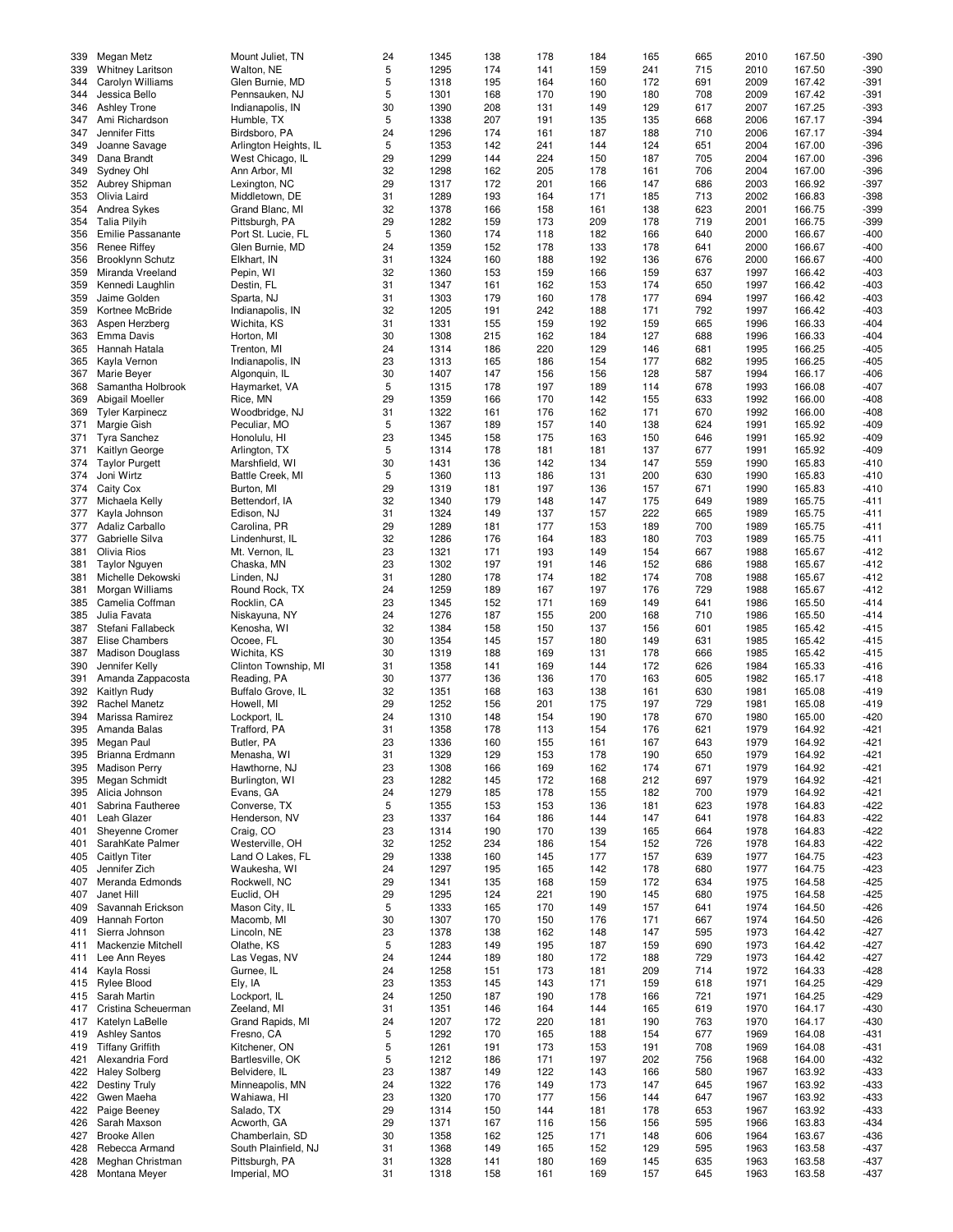|     |                         | Mount Juliet, TN      | 24 | 1345 | 138 | 178 | 184 | 165 | 665 | 2010 | 167.50 | $-390$ |
|-----|-------------------------|-----------------------|----|------|-----|-----|-----|-----|-----|------|--------|--------|
| 339 | Megan Metz              |                       |    |      |     |     |     |     |     |      |        |        |
| 339 | <b>Whitney Laritson</b> | Walton, NE            | 5  | 1295 | 174 | 141 | 159 | 241 | 715 | 2010 | 167.50 | $-390$ |
| 344 | Carolyn Williams        | Glen Burnie, MD       | 5  | 1318 | 195 | 164 | 160 | 172 | 691 | 2009 | 167.42 | $-391$ |
| 344 | Jessica Bello           | Pennsauken, NJ        | 5  | 1301 | 168 | 170 | 190 | 180 | 708 | 2009 | 167.42 | -391   |
| 346 | <b>Ashley Trone</b>     | Indianapolis, IN      | 30 | 1390 | 208 | 131 | 149 | 129 | 617 | 2007 | 167.25 | $-393$ |
|     |                         |                       |    |      |     |     |     |     |     |      |        |        |
| 347 | Ami Richardson          | Humble, TX            | 5  | 1338 | 207 | 191 | 135 | 135 | 668 | 2006 | 167.17 | $-394$ |
| 347 | Jennifer Fitts          | Birdsboro, PA         | 24 | 1296 | 174 | 161 | 187 | 188 | 710 | 2006 | 167.17 | $-394$ |
| 349 | Joanne Savage           | Arlington Heights, IL | 5  | 1353 | 142 | 241 | 144 | 124 | 651 | 2004 | 167.00 | $-396$ |
| 349 | Dana Brandt             | West Chicago, IL      | 29 | 1299 | 144 | 224 | 150 | 187 | 705 | 2004 | 167.00 | $-396$ |
|     |                         |                       |    |      |     |     |     |     |     |      |        |        |
| 349 | Sydney Ohl              | Ann Arbor, MI         | 32 | 1298 | 162 | 205 | 178 | 161 | 706 | 2004 | 167.00 | $-396$ |
| 352 | Aubrey Shipman          | Lexington, NC         | 29 | 1317 | 172 | 201 | 166 | 147 | 686 | 2003 | 166.92 | $-397$ |
| 353 | Olivia Laird            | Middletown, DE        | 31 | 1289 | 193 | 164 | 171 | 185 | 713 | 2002 | 166.83 | $-398$ |
| 354 | Andrea Sykes            | Grand Blanc, MI       | 32 | 1378 | 166 | 158 | 161 | 138 | 623 | 2001 | 166.75 | $-399$ |
|     |                         |                       |    |      |     |     |     |     |     |      |        |        |
| 354 | <b>Talia Pilyih</b>     | Pittsburgh, PA        | 29 | 1282 | 159 | 173 | 209 | 178 | 719 | 2001 | 166.75 | $-399$ |
| 356 | Emilie Passanante       | Port St. Lucie, FL    | 5  | 1360 | 174 | 118 | 182 | 166 | 640 | 2000 | 166.67 | $-400$ |
| 356 | <b>Renee Riffey</b>     | Glen Burnie, MD       | 24 | 1359 | 152 | 178 | 133 | 178 | 641 | 2000 | 166.67 | $-400$ |
| 356 | <b>Brooklynn Schutz</b> | Elkhart, IN           | 31 | 1324 | 160 | 188 | 192 | 136 | 676 | 2000 | 166.67 | $-400$ |
|     |                         |                       |    |      |     |     |     |     |     |      |        |        |
| 359 | Miranda Vreeland        | Pepin, WI             | 32 | 1360 | 153 | 159 | 166 | 159 | 637 | 1997 | 166.42 | $-403$ |
| 359 | Kennedi Laughlin        | Destin, FL            | 31 | 1347 | 161 | 162 | 153 | 174 | 650 | 1997 | 166.42 | $-403$ |
| 359 | Jaime Golden            | Sparta, NJ            | 31 | 1303 | 179 | 160 | 178 | 177 | 694 | 1997 | 166.42 | $-403$ |
| 359 | Kortnee McBride         | Indianapolis, IN      | 32 | 1205 | 191 | 242 | 188 | 171 | 792 | 1997 | 166.42 | $-403$ |
|     |                         |                       |    |      |     |     |     |     |     |      |        |        |
| 363 | Aspen Herzberg          | Wichita, KS           | 31 | 1331 | 155 | 159 | 192 | 159 | 665 | 1996 | 166.33 | $-404$ |
| 363 | Emma Davis              | Horton, MI            | 30 | 1308 | 215 | 162 | 184 | 127 | 688 | 1996 | 166.33 | $-404$ |
| 365 | Hannah Hatala           | Trenton, MI           | 24 | 1314 | 186 | 220 | 129 | 146 | 681 | 1995 | 166.25 | $-405$ |
| 365 | Kayla Vernon            | Indianapolis, IN      | 23 | 1313 | 165 | 186 | 154 | 177 | 682 | 1995 | 166.25 | $-405$ |
|     |                         |                       |    |      |     |     |     |     |     |      |        |        |
| 367 | Marie Beyer             | Algonquin, IL         | 30 | 1407 | 147 | 156 | 156 | 128 | 587 | 1994 | 166.17 | $-406$ |
| 368 | Samantha Holbrook       | Haymarket, VA         | 5  | 1315 | 178 | 197 | 189 | 114 | 678 | 1993 | 166.08 | $-407$ |
| 369 | Abigail Moeller         | Rice, MN              | 29 | 1359 | 166 | 170 | 142 | 155 | 633 | 1992 | 166.00 | $-408$ |
| 369 | <b>Tyler Karpinecz</b>  | Woodbridge, NJ        | 31 | 1322 | 161 | 176 | 162 | 171 | 670 | 1992 | 166.00 | $-408$ |
|     |                         |                       |    |      |     |     |     |     |     |      |        |        |
| 371 | Margie Gish             | Peculiar, MO          | 5  | 1367 | 189 | 157 | 140 | 138 | 624 | 1991 | 165.92 | $-409$ |
| 371 | <b>Tyra Sanchez</b>     | Honolulu, HI          | 23 | 1345 | 158 | 175 | 163 | 150 | 646 | 1991 | 165.92 | $-409$ |
| 371 | Kaitlyn George          | Arlington, TX         | 5  | 1314 | 178 | 181 | 181 | 137 | 677 | 1991 | 165.92 | $-409$ |
| 374 | <b>Taylor Purgett</b>   | Marshfield, WI        | 30 | 1431 | 136 | 142 | 134 | 147 | 559 | 1990 | 165.83 | $-410$ |
|     |                         |                       |    |      |     |     |     |     |     |      |        |        |
| 374 | Joni Wirtz              | Battle Creek, MI      | 5  | 1360 | 113 | 186 | 131 | 200 | 630 | 1990 | 165.83 | $-410$ |
| 374 | Caity Cox               | Burton, MI            | 29 | 1319 | 181 | 197 | 136 | 157 | 671 | 1990 | 165.83 | $-410$ |
| 377 | Michaela Kelly          | Bettendorf, IA        | 32 | 1340 | 179 | 148 | 147 | 175 | 649 | 1989 | 165.75 | $-411$ |
|     |                         |                       |    |      |     |     |     |     |     |      |        |        |
| 377 | Kayla Johnson           | Edison, NJ            | 31 | 1324 | 149 | 137 | 157 | 222 | 665 | 1989 | 165.75 | $-411$ |
| 377 | Adaliz Carballo         | Carolina, PR          | 29 | 1289 | 181 | 177 | 153 | 189 | 700 | 1989 | 165.75 | $-411$ |
| 377 | Gabrielle Silva         | Lindenhurst, IL       | 32 | 1286 | 176 | 164 | 183 | 180 | 703 | 1989 | 165.75 | $-411$ |
| 381 | Olivia Rios             | Mt. Vernon, IL        | 23 | 1321 | 171 | 193 | 149 | 154 | 667 | 1988 | 165.67 | -412   |
|     |                         |                       |    |      |     |     |     |     |     |      |        |        |
| 381 | <b>Taylor Nguyen</b>    | Chaska, MN            | 23 | 1302 | 197 | 191 | 146 | 152 | 686 | 1988 | 165.67 | $-412$ |
| 381 | Michelle Dekowski       | Linden, NJ            | 31 | 1280 | 178 | 174 | 182 | 174 | 708 | 1988 | 165.67 | $-412$ |
| 381 | Morgan Williams         | Round Rock, TX        | 24 | 1259 | 189 | 167 | 197 | 176 | 729 | 1988 | 165.67 | $-412$ |
| 385 | Camelia Coffman         | Rocklin, CA           | 23 | 1345 | 152 | 171 | 169 | 149 | 641 | 1986 | 165.50 | $-414$ |
|     |                         |                       | 24 |      |     |     |     |     |     |      |        | $-414$ |
| 385 | Julia Favata            | Niskayuna, NY         |    | 1276 | 187 | 155 | 200 | 168 | 710 | 1986 | 165.50 |        |
| 387 | Stefani Fallabeck       | Kenosha, WI           | 32 | 1384 | 158 | 150 | 137 | 156 | 601 | 1985 | 165.42 | $-415$ |
| 387 | Elise Chambers          | Ocoee, FL             | 30 | 1354 | 145 | 157 | 180 | 149 | 631 | 1985 | 165.42 | $-415$ |
| 387 | <b>Madison Douglass</b> | Wichita, KS           | 30 | 1319 | 188 | 169 | 131 | 178 | 666 | 1985 | 165.42 | $-415$ |
|     |                         |                       |    |      |     |     |     |     |     |      |        |        |
| 390 | Jennifer Kelly          | Clinton Township, MI  | 31 | 1358 | 141 | 169 | 144 | 172 | 626 | 1984 | 165.33 | $-416$ |
| 391 | Amanda Zappacosta       | Reading, PA           | 30 | 1377 | 136 | 136 | 170 | 163 | 605 | 1982 | 165.17 | $-418$ |
| 392 | Kaitlyn Rudy            | Buffalo Grove, IL     | 32 | 1351 | 168 | 163 | 138 | 161 | 630 | 1981 | 165.08 | -419   |
| 392 | Rachel Manetz           | Howell, MI            | 29 | 1252 | 156 | 201 | 175 | 197 | 729 | 1981 | 165.08 | $-419$ |
|     |                         |                       |    |      |     |     |     |     |     |      |        |        |
| 394 | Marissa Ramirez         | Lockport, IL          | 24 | 1310 | 148 | 154 | 190 | 178 | 670 | 1980 | 165.00 | $-420$ |
| 395 | Amanda Balas            | Trafford, PA          | 31 | 1358 | 178 | 113 | 154 | 176 | 621 | 1979 | 164.92 | -421   |
| 395 | Megan Paul              | Butler, PA            | 23 | 1336 | 160 | 155 | 161 | 167 | 643 | 1979 | 164.92 | $-421$ |
| 395 | Brianna Erdmann         | Menasha, WI           | 31 | 1329 | 129 | 153 | 178 | 190 | 650 | 1979 | 164.92 | $-421$ |
|     |                         |                       |    |      |     |     |     |     |     |      |        |        |
| 395 | <b>Madison Perry</b>    | Hawthorne, NJ         | 23 | 1308 | 166 | 169 | 162 | 174 | 671 | 1979 | 164.92 | -421   |
| 395 | Megan Schmidt           | Burlington, WI        | 23 | 1282 | 145 | 172 | 168 | 212 | 697 | 1979 | 164.92 | -421   |
| 395 | Alicia Johnson          | Evans, GA             | 24 | 1279 | 185 | 178 | 155 | 182 | 700 | 1979 | 164.92 | -421   |
| 401 | Sabrina Fautheree       | Converse, TX          | 5  | 1355 | 153 | 153 | 136 | 181 | 623 | 1978 | 164.83 | $-422$ |
|     |                         |                       |    |      |     |     |     |     |     |      |        |        |
| 401 | Leah Glazer             | Henderson, NV         | 23 | 1337 | 164 | 186 | 144 | 147 | 641 | 1978 | 164.83 | -422   |
| 401 | Sheyenne Cromer         | Craig, CO             | 23 | 1314 | 190 | 170 | 139 | 165 | 664 | 1978 | 164.83 | $-422$ |
| 401 | SarahKate Palmer        | Westerville, OH       | 32 | 1252 | 234 | 186 | 154 | 152 | 726 | 1978 | 164.83 | $-422$ |
| 405 | <b>Caitlyn Titer</b>    | Land O Lakes, FL      | 29 | 1338 | 160 | 145 | 177 | 157 | 639 | 1977 | 164.75 | $-423$ |
| 405 | Jennifer Zich           | Waukesha, WI          | 24 | 1297 | 195 | 165 | 142 | 178 | 680 | 1977 | 164.75 | -423   |
|     |                         |                       |    |      |     |     |     |     |     |      |        |        |
| 407 | Meranda Edmonds         | Rockwell, NC          | 29 | 1341 | 135 | 168 | 159 | 172 | 634 | 1975 | 164.58 | $-425$ |
| 407 | Janet Hill              | Euclid, OH            | 29 | 1295 | 124 | 221 | 190 | 145 | 680 | 1975 | 164.58 | $-425$ |
| 409 | Savannah Erickson       | Mason City, IL        | 5  | 1333 | 165 | 170 | 149 | 157 | 641 | 1974 | 164.50 | $-426$ |
| 409 |                         | Macomb, MI            | 30 | 1307 |     |     |     |     | 667 | 1974 |        | $-426$ |
|     | Hannah Forton           |                       |    |      | 170 | 150 | 176 | 171 |     |      | 164.50 |        |
| 411 | Sierra Johnson          | Lincoln, NE           | 23 | 1378 | 138 | 162 | 148 | 147 | 595 | 1973 | 164.42 | $-427$ |
| 411 | Mackenzie Mitchell      | Olathe, KS            | 5  | 1283 | 149 | 195 | 187 | 159 | 690 | 1973 | 164.42 | $-427$ |
| 411 | Lee Ann Reyes           | Las Vegas, NV         | 24 | 1244 | 189 | 180 | 172 | 188 | 729 | 1973 | 164.42 | -427   |
|     |                         | Gurnee, IL            | 24 | 1258 |     |     |     |     |     |      |        | $-428$ |
| 414 | Kayla Rossi             |                       |    |      | 151 | 173 | 181 | 209 | 714 | 1972 | 164.33 |        |
| 415 | Rylee Blood             | Ely, IA               | 23 | 1353 | 145 | 143 | 171 | 159 | 618 | 1971 | 164.25 | $-429$ |
| 415 | Sarah Martin            | Lockport, IL          | 24 | 1250 | 187 | 190 | 178 | 166 | 721 | 1971 | 164.25 | $-429$ |
| 417 | Cristina Scheuerman     | Zeeland, MI           | 31 | 1351 | 146 | 164 | 144 | 165 | 619 | 1970 | 164.17 | $-430$ |
|     |                         |                       |    |      |     |     |     |     |     |      |        |        |
| 417 | Katelyn LaBelle         | Grand Rapids, MI      | 24 | 1207 | 172 | 220 | 181 | 190 | 763 | 1970 | 164.17 | $-430$ |
| 419 | <b>Ashley Santos</b>    | Fresno, CA            | 5  | 1292 | 170 | 165 | 188 | 154 | 677 | 1969 | 164.08 | -431   |
| 419 | <b>Tiffany Griffith</b> | Kitchener, ON         | 5  | 1261 | 191 | 173 | 153 | 191 | 708 | 1969 | 164.08 | -431   |
| 421 | Alexandria Ford         | Bartlesville, OK      | 5  | 1212 | 186 | 171 | 197 | 202 | 756 | 1968 | 164.00 | $-432$ |
|     |                         |                       |    |      |     |     |     |     |     |      |        |        |
| 422 | <b>Haley Solberg</b>    | Belvidere, IL         | 23 | 1387 | 149 | 122 | 143 | 166 | 580 | 1967 | 163.92 | $-433$ |
| 422 | <b>Destiny Truly</b>    | Minneapolis, MN       | 24 | 1322 | 176 | 149 | 173 | 147 | 645 | 1967 | 163.92 | $-433$ |
| 422 | Gwen Maeha              | Wahiawa, HI           | 23 | 1320 | 170 | 177 | 156 | 144 | 647 | 1967 | 163.92 | -433   |
| 422 | Paige Beeney            | Salado, TX            | 29 | 1314 | 150 | 144 | 181 | 178 | 653 | 1967 | 163.92 | $-433$ |
|     |                         |                       |    |      |     |     |     |     |     |      |        |        |
| 426 | Sarah Maxson            | Acworth, GA           | 29 | 1371 | 167 | 116 | 156 | 156 | 595 | 1966 | 163.83 | $-434$ |
| 427 | <b>Brooke Allen</b>     | Chamberlain, SD       | 30 | 1358 | 162 | 125 | 171 | 148 | 606 | 1964 | 163.67 | -436   |
| 428 | Rebecca Armand          | South Plainfield, NJ  | 31 | 1368 | 149 | 165 | 152 | 129 | 595 | 1963 | 163.58 | $-437$ |
| 428 | Meghan Christman        | Pittsburgh, PA        | 31 | 1328 | 141 | 180 | 169 | 145 | 635 | 1963 | 163.58 | $-437$ |
| 428 | Montana Meyer           | Imperial, MO          | 31 | 1318 | 158 | 161 | 169 | 157 | 645 | 1963 | 163.58 | -437   |
|     |                         |                       |    |      |     |     |     |     |     |      |        |        |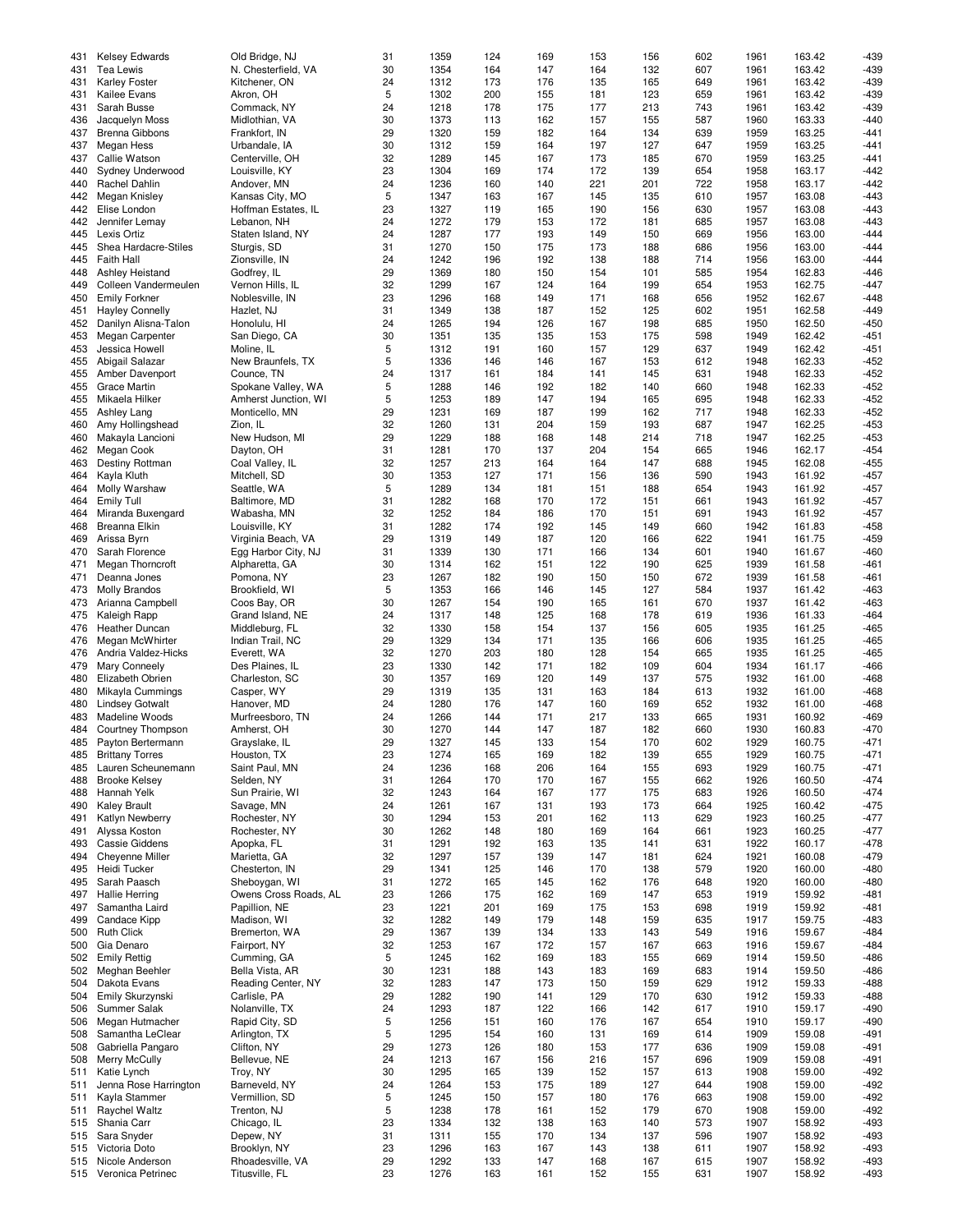| 431 | <b>Kelsey Edwards</b>  | Old Bridge, NJ        | 31 | 1359 | 124 | 169 | 153 | 156 | 602 | 1961 | 163.42 | $-439$ |
|-----|------------------------|-----------------------|----|------|-----|-----|-----|-----|-----|------|--------|--------|
| 431 | Tea Lewis              | N. Chesterfield, VA   | 30 | 1354 | 164 | 147 | 164 | 132 | 607 | 1961 | 163.42 | $-439$ |
| 431 | <b>Karley Foster</b>   | Kitchener, ON         | 24 | 1312 | 173 | 176 | 135 | 165 | 649 | 1961 | 163.42 | $-439$ |
| 431 | Kailee Evans           | Akron, OH             | 5  | 1302 | 200 | 155 | 181 | 123 | 659 | 1961 | 163.42 | $-439$ |
|     |                        |                       |    |      |     |     |     |     |     |      |        |        |
| 431 | Sarah Busse            | Commack, NY           | 24 | 1218 | 178 | 175 | 177 | 213 | 743 | 1961 | 163.42 | $-439$ |
| 436 | Jacquelyn Moss         | Midlothian, VA        | 30 | 1373 | 113 | 162 | 157 | 155 | 587 | 1960 | 163.33 | $-440$ |
| 437 | Brenna Gibbons         | Frankfort, IN         | 29 | 1320 | 159 | 182 | 164 | 134 | 639 | 1959 | 163.25 | $-441$ |
| 437 | Megan Hess             | Urbandale, IA         | 30 | 1312 | 159 | 164 | 197 | 127 | 647 | 1959 | 163.25 | $-441$ |
| 437 | Callie Watson          | Centerville, OH       | 32 | 1289 | 145 | 167 | 173 | 185 | 670 | 1959 | 163.25 | $-441$ |
|     |                        |                       |    |      |     |     |     |     |     |      |        |        |
| 440 | Sydney Underwood       | Louisville, KY        | 23 | 1304 | 169 | 174 | 172 | 139 | 654 | 1958 | 163.17 | $-442$ |
| 440 | Rachel Dahlin          | Andover, MN           | 24 | 1236 | 160 | 140 | 221 | 201 | 722 | 1958 | 163.17 | $-442$ |
| 442 | Megan Knisley          | Kansas City, MO       | 5  | 1347 | 163 | 167 | 145 | 135 | 610 | 1957 | 163.08 | $-443$ |
| 442 |                        |                       | 23 | 1327 | 119 | 165 | 190 |     | 630 | 1957 | 163.08 | $-443$ |
|     | Elise London           | Hoffman Estates, IL   |    |      |     |     |     | 156 |     |      |        |        |
| 442 | Jennifer Lemay         | Lebanon, NH           | 24 | 1272 | 179 | 153 | 172 | 181 | 685 | 1957 | 163.08 | $-443$ |
| 445 | Lexis Ortiz            | Staten Island, NY     | 24 | 1287 | 177 | 193 | 149 | 150 | 669 | 1956 | 163.00 | $-444$ |
| 445 | Shea Hardacre-Stiles   | Sturgis, SD           | 31 | 1270 | 150 | 175 | 173 | 188 | 686 | 1956 | 163.00 | $-444$ |
| 445 | <b>Faith Hall</b>      |                       | 24 | 1242 | 196 | 192 | 138 | 188 | 714 | 1956 |        | $-444$ |
|     |                        | Zionsville, IN        |    |      |     |     |     |     |     |      | 163.00 |        |
| 448 | Ashley Heistand        | Godfrey, IL           | 29 | 1369 | 180 | 150 | 154 | 101 | 585 | 1954 | 162.83 | $-446$ |
| 449 | Colleen Vandermeulen   | Vernon Hills, IL      | 32 | 1299 | 167 | 124 | 164 | 199 | 654 | 1953 | 162.75 | $-447$ |
| 450 | <b>Emily Forkner</b>   | Noblesville, IN       | 23 | 1296 | 168 | 149 | 171 | 168 | 656 | 1952 | 162.67 | $-448$ |
| 451 | <b>Hayley Connelly</b> | Hazlet, NJ            | 31 | 1349 | 138 | 187 | 152 | 125 | 602 | 1951 | 162.58 | $-449$ |
|     |                        |                       |    |      |     |     |     |     |     |      |        |        |
| 452 | Danilyn Alisna-Talon   | Honolulu, HI          | 24 | 1265 | 194 | 126 | 167 | 198 | 685 | 1950 | 162.50 | $-450$ |
| 453 | Megan Carpenter        | San Diego, CA         | 30 | 1351 | 135 | 135 | 153 | 175 | 598 | 1949 | 162.42 | $-451$ |
| 453 | Jessica Howell         | Moline, IL            | 5  | 1312 | 191 | 160 | 157 | 129 | 637 | 1949 | 162.42 | $-451$ |
| 455 | Abigail Salazar        | New Braunfels, TX     | 5  | 1336 | 146 | 146 | 167 | 153 | 612 | 1948 | 162.33 | $-452$ |
|     |                        |                       |    |      |     |     |     |     |     |      |        |        |
| 455 | Amber Davenport        | Counce, TN            | 24 | 1317 | 161 | 184 | 141 | 145 | 631 | 1948 | 162.33 | $-452$ |
| 455 | <b>Grace Martin</b>    | Spokane Valley, WA    | 5  | 1288 | 146 | 192 | 182 | 140 | 660 | 1948 | 162.33 | $-452$ |
| 455 | Mikaela Hilker         | Amherst Junction, WI  | 5  | 1253 | 189 | 147 | 194 | 165 | 695 | 1948 | 162.33 | $-452$ |
| 455 | Ashley Lang            | Monticello, MN        | 29 | 1231 | 169 | 187 | 199 | 162 | 717 | 1948 | 162.33 | $-452$ |
|     |                        |                       |    |      |     |     |     |     |     |      |        |        |
| 460 | Amy Hollingshead       | Zion, IL              | 32 | 1260 | 131 | 204 | 159 | 193 | 687 | 1947 | 162.25 | $-453$ |
| 460 | Makayla Lancioni       | New Hudson, MI        | 29 | 1229 | 188 | 168 | 148 | 214 | 718 | 1947 | 162.25 | $-453$ |
| 462 | Megan Cook             | Dayton, OH            | 31 | 1281 | 170 | 137 | 204 | 154 | 665 | 1946 | 162.17 | $-454$ |
| 463 | Destiny Rottman        | Coal Valley, IL       | 32 | 1257 | 213 | 164 | 164 | 147 | 688 | 1945 | 162.08 | $-455$ |
|     |                        |                       |    |      |     |     |     |     |     |      |        |        |
| 464 | Kayla Kluth            | Mitchell, SD          | 30 | 1353 | 127 | 171 | 156 | 136 | 590 | 1943 | 161.92 | $-457$ |
| 464 | Molly Warshaw          | Seattle, WA           | 5  | 1289 | 134 | 181 | 151 | 188 | 654 | 1943 | 161.92 | $-457$ |
| 464 | Emily Tull             | Baltimore, MD         | 31 | 1282 | 168 | 170 | 172 | 151 | 661 | 1943 | 161.92 | $-457$ |
| 464 | Miranda Buxengard      | Wabasha, MN           | 32 | 1252 | 184 | 186 | 170 | 151 | 691 | 1943 | 161.92 | $-457$ |
|     |                        |                       |    |      |     |     |     |     |     |      |        |        |
| 468 | Breanna Elkin          | Louisville, KY        | 31 | 1282 | 174 | 192 | 145 | 149 | 660 | 1942 | 161.83 | $-458$ |
| 469 | Arissa Byrn            | Virginia Beach, VA    | 29 | 1319 | 149 | 187 | 120 | 166 | 622 | 1941 | 161.75 | $-459$ |
| 470 | Sarah Florence         | Egg Harbor City, NJ   | 31 | 1339 | 130 | 171 | 166 | 134 | 601 | 1940 | 161.67 | $-460$ |
| 471 | Megan Thorncroft       | Alpharetta, GA        | 30 | 1314 | 162 | 151 | 122 | 190 | 625 | 1939 | 161.58 | $-461$ |
|     |                        |                       |    |      |     |     |     |     |     |      |        |        |
| 471 | Deanna Jones           | Pomona, NY            | 23 | 1267 | 182 | 190 | 150 | 150 | 672 | 1939 | 161.58 | $-461$ |
| 473 | <b>Molly Brandos</b>   | Brookfield, WI        | 5  | 1353 | 166 | 146 | 145 | 127 | 584 | 1937 | 161.42 | $-463$ |
| 473 | Arianna Campbell       | Coos Bay, OR          | 30 | 1267 | 154 | 190 | 165 | 161 | 670 | 1937 | 161.42 | $-463$ |
| 475 | Kaleigh Rapp           | Grand Island, NE      | 24 | 1317 | 148 | 125 | 168 | 178 | 619 | 1936 | 161.33 | $-464$ |
|     |                        |                       |    |      |     |     |     |     |     |      |        |        |
| 476 | Heather Duncan         | Middleburg, FL        | 32 | 1330 | 158 | 154 | 137 | 156 | 605 | 1935 | 161.25 | $-465$ |
| 476 | Megan McWhirter        | Indian Trail, NC      | 29 | 1329 | 134 | 171 | 135 | 166 | 606 | 1935 | 161.25 | $-465$ |
| 476 | Andria Valdez-Hicks    | Everett, WA           | 32 | 1270 | 203 | 180 | 128 | 154 | 665 | 1935 | 161.25 | $-465$ |
| 479 | <b>Mary Conneely</b>   | Des Plaines, IL       | 23 | 1330 | 142 |     | 182 |     | 604 | 1934 |        | $-466$ |
|     |                        |                       |    |      |     | 171 |     | 109 |     |      | 161.17 |        |
| 480 | Elizabeth Obrien       | Charleston, SC        | 30 | 1357 | 169 | 120 | 149 | 137 | 575 | 1932 | 161.00 | $-468$ |
| 480 | Mikayla Cummings       | Casper, WY            | 29 | 1319 | 135 | 131 | 163 | 184 | 613 | 1932 | 161.00 | $-468$ |
| 480 | <b>Lindsey Gotwalt</b> | Hanover, MD           | 24 | 1280 | 176 | 147 | 160 | 169 | 652 | 1932 | 161.00 | $-468$ |
|     | Madeline Woods         | Murfreesboro, TN      |    |      | 144 |     |     |     | 665 |      |        | $-469$ |
| 483 |                        |                       | 24 | 1266 |     | 171 | 217 | 133 |     | 1931 | 160.92 |        |
| 484 | Courtney Thompson      | Amherst, OH           | 30 | 1270 | 144 | 147 | 187 | 182 | 660 | 1930 | 160.83 | $-470$ |
| 485 | Payton Bertermann      | Grayslake, IL         | 29 | 1327 | 145 | 133 | 154 | 170 | 602 | 1929 | 160.75 | $-471$ |
| 485 | <b>Brittany Torres</b> | Houston, TX           | 23 | 1274 | 165 | 169 | 182 | 139 | 655 | 1929 | 160.75 | $-471$ |
| 485 | Lauren Scheunemann     | Saint Paul, MN        | 24 | 1236 | 168 | 206 | 164 | 155 | 693 | 1929 | 160.75 | $-471$ |
|     |                        |                       |    |      |     |     |     |     |     |      |        |        |
| 488 | <b>Brooke Kelsey</b>   | Selden, NY            | 31 | 1264 | 170 | 170 | 167 | 155 | 662 | 1926 | 160.50 | $-474$ |
| 488 | Hannah Yelk            | Sun Prairie, WI       | 32 | 1243 | 164 | 167 | 177 | 175 | 683 | 1926 | 160.50 | $-474$ |
| 490 | <b>Kaley Brault</b>    | Savage, MN            | 24 | 1261 | 167 | 131 | 193 | 173 | 664 | 1925 | 160.42 | $-475$ |
| 491 | Katlyn Newberry        | Rochester, NY         | 30 | 1294 | 153 | 201 | 162 | 113 | 629 | 1923 | 160.25 | $-477$ |
|     |                        |                       |    |      |     |     |     |     |     |      |        |        |
| 491 | Alyssa Koston          | Rochester, NY         | 30 | 1262 | 148 | 180 | 169 | 164 | 661 | 1923 | 160.25 | $-477$ |
| 493 | <b>Cassie Giddens</b>  | Apopka, FL            | 31 | 1291 | 192 | 163 | 135 | 141 | 631 | 1922 | 160.17 | $-478$ |
| 494 | Cheyenne Miller        | Marietta, GA          | 32 | 1297 | 157 | 139 | 147 | 181 | 624 | 1921 | 160.08 | $-479$ |
| 495 | Heidi Tucker           | Chesterton, IN        | 29 | 1341 | 125 | 146 | 170 | 138 | 579 | 1920 | 160.00 | $-480$ |
| 495 | Sarah Paasch           | Sheboygan, WI         | 31 | 1272 | 165 | 145 | 162 | 176 | 648 | 1920 | 160.00 | $-480$ |
|     |                        |                       |    |      |     |     |     |     |     |      |        |        |
| 497 | <b>Hallie Herring</b>  | Owens Cross Roads, AL | 23 | 1266 | 175 | 162 | 169 | 147 | 653 | 1919 | 159.92 | $-481$ |
| 497 | Samantha Laird         | Papillion, NE         | 23 | 1221 | 201 | 169 | 175 | 153 | 698 | 1919 | 159.92 | $-481$ |
| 499 | Candace Kipp           | Madison, WI           | 32 | 1282 | 149 | 179 | 148 | 159 | 635 | 1917 | 159.75 | $-483$ |
| 500 | <b>Ruth Click</b>      | Bremerton, WA         | 29 | 1367 | 139 | 134 | 133 | 143 | 549 | 1916 | 159.67 | $-484$ |
|     |                        |                       |    |      |     |     |     |     |     |      |        |        |
| 500 | Gia Denaro             | Fairport, NY          | 32 | 1253 | 167 | 172 | 157 | 167 | 663 | 1916 | 159.67 | $-484$ |
| 502 | <b>Emily Rettig</b>    | Cumming, GA           | 5  | 1245 | 162 | 169 | 183 | 155 | 669 | 1914 | 159.50 | $-486$ |
| 502 | Meghan Beehler         | Bella Vista, AR       | 30 | 1231 | 188 | 143 | 183 | 169 | 683 | 1914 | 159.50 | $-486$ |
| 504 | Dakota Evans           | Reading Center, NY    | 32 | 1283 | 147 | 173 | 150 | 159 | 629 | 1912 | 159.33 | $-488$ |
|     |                        |                       |    |      |     |     |     |     |     |      |        |        |
| 504 | Emily Skurzynski       | Carlisle, PA          | 29 | 1282 | 190 | 141 | 129 | 170 | 630 | 1912 | 159.33 | $-488$ |
| 506 | Summer Salak           | Nolanville, TX        | 24 | 1293 | 187 | 122 | 166 | 142 | 617 | 1910 | 159.17 | $-490$ |
| 506 | Megan Hutmacher        | Rapid City, SD        | 5  | 1256 | 151 | 160 | 176 | 167 | 654 | 1910 | 159.17 | $-490$ |
| 508 | Samantha LeClear       | Arlington, TX         | 5  | 1295 | 154 | 160 | 131 | 169 | 614 | 1909 | 159.08 | $-491$ |
|     |                        |                       |    |      |     |     |     |     |     |      |        |        |
| 508 | Gabriella Pangaro      | Clifton, NY           | 29 | 1273 | 126 | 180 | 153 | 177 | 636 | 1909 | 159.08 | $-491$ |
| 508 | Merry McCully          | Bellevue, NE          | 24 | 1213 | 167 | 156 | 216 | 157 | 696 | 1909 | 159.08 | $-491$ |
| 511 | Katie Lynch            | Troy, NY              | 30 | 1295 | 165 | 139 | 152 | 157 | 613 | 1908 | 159.00 | $-492$ |
| 511 | Jenna Rose Harrington  | Barneveld, NY         | 24 | 1264 | 153 | 175 | 189 | 127 | 644 | 1908 | 159.00 | $-492$ |
|     |                        |                       |    |      |     |     |     |     |     |      |        |        |
| 511 | Kayla Stammer          | Vermillion, SD        | 5  | 1245 | 150 | 157 | 180 | 176 | 663 | 1908 | 159.00 | $-492$ |
| 511 | <b>Raychel Waltz</b>   | Trenton, NJ           | 5  | 1238 | 178 | 161 | 152 | 179 | 670 | 1908 | 159.00 | $-492$ |
| 515 | Shania Carr            | Chicago, IL           | 23 | 1334 | 132 | 138 | 163 | 140 | 573 | 1907 | 158.92 | $-493$ |
| 515 | Sara Snyder            | Depew, NY             | 31 | 1311 | 155 | 170 | 134 | 137 | 596 | 1907 | 158.92 | $-493$ |
|     |                        |                       |    |      |     |     |     |     |     |      |        |        |
| 515 | Victoria Doto          | Brooklyn, NY          | 23 | 1296 | 163 | 167 | 143 | 138 | 611 | 1907 | 158.92 | $-493$ |
| 515 | Nicole Anderson        | Rhoadesville, VA      | 29 | 1292 | 133 | 147 | 168 | 167 | 615 | 1907 | 158.92 | $-493$ |
|     | 515 Veronica Petrinec  | Titusville, FL        | 23 | 1276 | 163 | 161 | 152 | 155 | 631 | 1907 | 158.92 | $-493$ |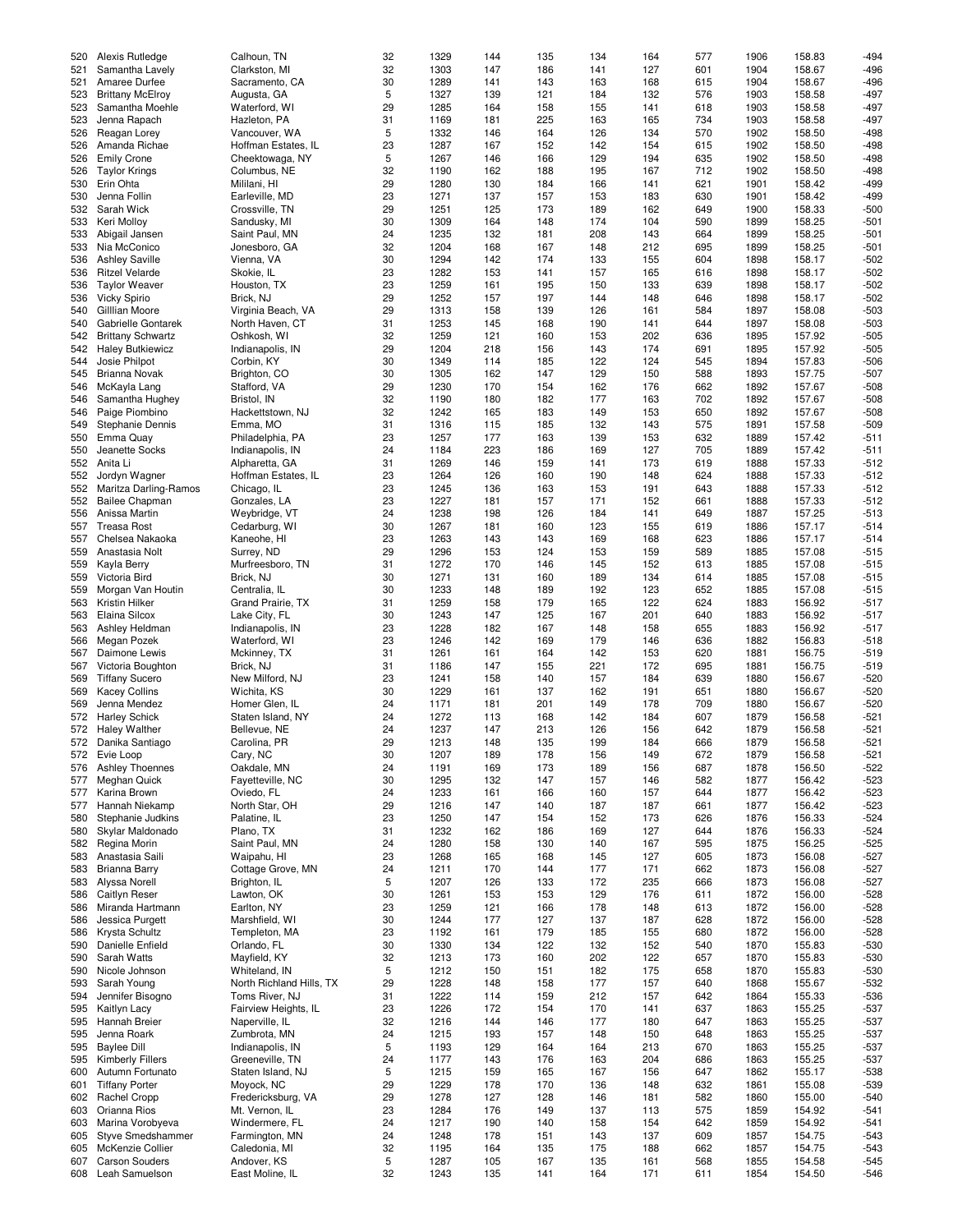|     | Alexis Rutledge<br>520   | Calhoun, TN              | 32      | 1329 | 144 | 135 | 134 | 164 | 577 | 1906 | 158.83 | $-494$ |
|-----|--------------------------|--------------------------|---------|------|-----|-----|-----|-----|-----|------|--------|--------|
| 521 | Samantha Lavely          | Clarkston, MI            | 32      | 1303 | 147 | 186 | 141 | 127 | 601 | 1904 | 158.67 | $-496$ |
| 521 | Amaree Durfee            | Sacramento, CA           | 30      | 1289 | 141 | 143 | 163 | 168 | 615 | 1904 | 158.67 | $-496$ |
| 523 | <b>Brittany McElroy</b>  | Augusta, GA              | 5       | 1327 | 139 | 121 | 184 | 132 | 576 | 1903 | 158.58 | $-497$ |
| 523 | Samantha Moehle          | Waterford, WI            | 29      | 1285 | 164 | 158 | 155 | 141 | 618 | 1903 | 158.58 | $-497$ |
| 523 | Jenna Rapach             | Hazleton, PA             | 31      | 1169 | 181 | 225 | 163 | 165 | 734 | 1903 | 158.58 | $-497$ |
|     |                          |                          |         |      |     |     |     |     |     |      |        |        |
| 526 | Reagan Lorey             | Vancouver, WA            | 5       | 1332 | 146 | 164 | 126 | 134 | 570 | 1902 | 158.50 | $-498$ |
| 526 | Amanda Richae            | Hoffman Estates, IL      | 23      | 1287 | 167 | 152 | 142 | 154 | 615 | 1902 | 158.50 | $-498$ |
| 526 | <b>Emily Crone</b>       | Cheektowaga, NY          | 5       | 1267 | 146 | 166 | 129 | 194 | 635 | 1902 | 158.50 | $-498$ |
| 526 |                          |                          | 32      |      |     |     | 195 |     |     |      | 158.50 | $-498$ |
|     | <b>Taylor Krings</b>     | Columbus, NE             |         | 1190 | 162 | 188 |     | 167 | 712 | 1902 |        |        |
| 530 | Erin Ohta                | Mililani, HI             | 29      | 1280 | 130 | 184 | 166 | 141 | 621 | 1901 | 158.42 | $-499$ |
| 530 | Jenna Follin             | Earleville, MD           | 23      | 1271 | 137 | 157 | 153 | 183 | 630 | 1901 | 158.42 | $-499$ |
| 532 | Sarah Wick               | Crossville, TN           | 29      | 1251 | 125 | 173 | 189 | 162 | 649 | 1900 | 158.33 | $-500$ |
| 533 | Keri Molloy              | Sandusky, MI             | 30      | 1309 | 164 | 148 | 174 | 104 | 590 | 1899 | 158.25 | $-501$ |
|     |                          |                          |         |      |     |     |     |     |     |      |        |        |
| 533 | Abigail Jansen           | Saint Paul, MN           | 24      | 1235 | 132 | 181 | 208 | 143 | 664 | 1899 | 158.25 | $-501$ |
| 533 | Nia McConico             | Jonesboro, GA            | 32      | 1204 | 168 | 167 | 148 | 212 | 695 | 1899 | 158.25 | $-501$ |
| 536 | <b>Ashley Saville</b>    | Vienna, VA               | 30      | 1294 | 142 | 174 | 133 | 155 | 604 | 1898 | 158.17 | $-502$ |
| 536 | <b>Ritzel Velarde</b>    | Skokie, IL               | 23      | 1282 | 153 | 141 | 157 | 165 | 616 | 1898 | 158.17 | $-502$ |
| 536 |                          | Houston, TX              | 23      | 1259 | 161 | 195 | 150 | 133 | 639 | 1898 | 158.17 | $-502$ |
|     | <b>Taylor Weaver</b>     |                          |         |      |     |     |     |     |     |      |        |        |
| 536 | Vicky Spirio             | Brick, NJ                | 29      | 1252 | 157 | 197 | 144 | 148 | 646 | 1898 | 158.17 | $-502$ |
| 540 | Gilllian Moore           | Virginia Beach, VA       | 29      | 1313 | 158 | 139 | 126 | 161 | 584 | 1897 | 158.08 | $-503$ |
| 540 | Gabrielle Gontarek       | North Haven, CT          | 31      | 1253 | 145 | 168 | 190 | 141 | 644 | 1897 | 158.08 | $-503$ |
| 542 | <b>Brittany Schwartz</b> | Oshkosh, WI              | 32      | 1259 | 121 | 160 | 153 | 202 | 636 | 1895 | 157.92 | $-505$ |
|     |                          |                          |         |      |     |     |     |     |     |      |        |        |
| 542 | <b>Haley Butkiewicz</b>  | Indianapolis, IN         | 29      | 1204 | 218 | 156 | 143 | 174 | 691 | 1895 | 157.92 | $-505$ |
| 544 | Josie Philpot            | Corbin, KY               | 30      | 1349 | 114 | 185 | 122 | 124 | 545 | 1894 | 157.83 | $-506$ |
| 545 | Brianna Novak            | Brighton, CO             | 30      | 1305 | 162 | 147 | 129 | 150 | 588 | 1893 | 157.75 | $-507$ |
| 546 | McKayla Lang             | Stafford, VA             | 29      | 1230 | 170 | 154 | 162 | 176 | 662 | 1892 | 157.67 | $-508$ |
| 546 | Samantha Hughey          | Bristol, IN              | 32      | 1190 | 180 | 182 | 177 | 163 | 702 | 1892 | 157.67 | $-508$ |
|     |                          |                          |         |      |     |     |     |     |     |      |        |        |
| 546 | Paige Piombino           | Hackettstown, NJ         | 32      | 1242 | 165 | 183 | 149 | 153 | 650 | 1892 | 157.67 | $-508$ |
| 549 | Stephanie Dennis         | Emma, MO                 | 31      | 1316 | 115 | 185 | 132 | 143 | 575 | 1891 | 157.58 | $-509$ |
| 550 | Emma Quay                | Philadelphia, PA         | 23      | 1257 | 177 | 163 | 139 | 153 | 632 | 1889 | 157.42 | $-511$ |
| 550 | Jeanette Socks           | Indianapolis, IN         | 24      | 1184 | 223 | 186 | 169 | 127 | 705 | 1889 | 157.42 | $-511$ |
|     |                          |                          |         |      |     |     |     |     |     |      |        |        |
|     | 552<br>Anita Li          | Alpharetta, GA           | 31      | 1269 | 146 | 159 | 141 | 173 | 619 | 1888 | 157.33 | $-512$ |
| 552 | Jordyn Wagner            | Hoffman Estates, IL      | 23      | 1264 | 126 | 160 | 190 | 148 | 624 | 1888 | 157.33 | $-512$ |
| 552 | Maritza Darling-Ramos    | Chicago, IL              | 23      | 1245 | 136 | 163 | 153 | 191 | 643 | 1888 | 157.33 | $-512$ |
| 552 | <b>Bailee Chapman</b>    | Gonzales, LA             | 23      | 1227 | 181 | 157 | 171 | 152 | 661 | 1888 | 157.33 | $-512$ |
|     |                          |                          |         |      |     |     |     |     |     |      |        |        |
| 556 | Anissa Martin            | Weybridge, VT            | 24      | 1238 | 198 | 126 | 184 | 141 | 649 | 1887 | 157.25 | $-513$ |
| 557 | <b>Treasa Rost</b>       | Cedarburg, WI            | 30      | 1267 | 181 | 160 | 123 | 155 | 619 | 1886 | 157.17 | $-514$ |
| 557 | Chelsea Nakaoka          | Kaneohe, HI              | 23      | 1263 | 143 | 143 | 169 | 168 | 623 | 1886 | 157.17 | $-514$ |
| 559 | Anastasia Nolt           | Surrey, ND               | 29      | 1296 | 153 | 124 | 153 | 159 | 589 | 1885 | 157.08 | $-515$ |
| 559 | Kayla Berry              | Murfreesboro, TN         | 31      | 1272 | 170 | 146 | 145 | 152 | 613 | 1885 | 157.08 | $-515$ |
|     |                          |                          |         |      |     |     |     |     |     |      |        |        |
| 559 | Victoria Bird            | Brick, NJ                | 30      | 1271 | 131 | 160 | 189 | 134 | 614 | 1885 | 157.08 | $-515$ |
| 559 | Morgan Van Houtin        | Centralia, IL            | 30      | 1233 | 148 | 189 | 192 | 123 | 652 | 1885 | 157.08 | $-515$ |
| 563 | Kristin Hilker           | Grand Prairie, TX        | 31      | 1259 | 158 | 179 | 165 | 122 | 624 | 1883 | 156.92 | $-517$ |
| 563 | Elaina Silcox            | Lake City, FL            | 30      | 1243 | 147 | 125 | 167 | 201 | 640 | 1883 | 156.92 | $-517$ |
|     |                          |                          |         |      |     |     |     |     |     |      |        |        |
| 563 | Ashley Heldman           | Indianapolis, IN         | 23      | 1228 | 182 | 167 | 148 | 158 | 655 | 1883 | 156.92 | $-517$ |
| 566 | Megan Pozek              | Waterford, WI            | 23      | 1246 | 142 | 169 | 179 | 146 | 636 | 1882 | 156.83 | $-518$ |
| 567 | Daimone Lewis            | Mckinney, TX             | 31      | 1261 | 161 | 164 | 142 | 153 | 620 | 1881 | 156.75 | $-519$ |
| 567 | Victoria Boughton        | Brick, NJ                | 31      | 1186 | 147 | 155 | 221 | 172 | 695 | 1881 | 156.75 | $-519$ |
|     |                          |                          |         |      |     |     |     |     |     |      |        |        |
| 569 | <b>Tiffany Sucero</b>    | New Milford, NJ          | 23      | 1241 | 158 | 140 | 157 | 184 | 639 | 1880 | 156.67 | $-520$ |
| 569 | <b>Kacey Collins</b>     | Wichita, KS              | 30      | 1229 | 161 | 137 | 162 | 191 | 651 | 1880 | 156.67 | $-520$ |
| 569 | Jenna Mendez             | Homer Glen, IL           | 24      | 1171 | 181 | 201 | 149 | 178 | 709 | 1880 | 156.67 | $-520$ |
| 572 | <b>Harley Schick</b>     | Staten Island, NY        | 24      | 1272 | 113 | 168 | 142 | 184 | 607 | 1879 | 156.58 | $-521$ |
| 572 |                          |                          | 24      | 1237 | 147 | 213 | 126 | 156 | 642 | 1879 |        | $-521$ |
|     | <b>Haley Walther</b>     | Bellevue, NE             |         |      |     |     |     |     |     |      | 156.58 |        |
| 572 | Danika Santiago          | Carolina, PR             | 29      | 1213 | 148 | 135 | 199 | 184 | 666 | 1879 | 156.58 | $-521$ |
|     | Evie Loop<br>572         | Cary, NC                 | 30      | 1207 | 189 | 178 | 156 | 149 | 672 | 1879 | 156.58 | $-521$ |
| 576 | <b>Ashley Thoennes</b>   | Oakdale, MN              | 24      | 1191 | 169 | 173 | 189 | 156 | 687 | 1878 | 156.50 | $-522$ |
| 577 | Meghan Quick             | Fayetteville, NC         | 30      | 1295 | 132 | 147 | 157 | 146 | 582 | 1877 | 156.42 | $-523$ |
|     |                          |                          |         |      |     |     |     |     |     |      |        |        |
| 577 | Karina Brown             | Oviedo, FL               | 24      | 1233 | 161 | 166 | 160 | 157 | 644 | 1877 | 156.42 | $-523$ |
| 577 | Hannah Niekamp           | North Star, OH           | 29      | 1216 | 147 | 140 | 187 | 187 | 661 | 1877 | 156.42 | $-523$ |
| 580 | Stephanie Judkins        | Palatine, IL             | 23      | 1250 | 147 | 154 | 152 | 173 | 626 | 1876 | 156.33 | $-524$ |
| 580 | Skylar Maldonado         | Plano, TX                | 31      | 1232 | 162 | 186 | 169 | 127 | 644 | 1876 | 156.33 | $-524$ |
| 582 | Regina Morin             | Saint Paul, MN           | 24      | 1280 | 158 | 130 | 140 | 167 | 595 | 1875 | 156.25 | $-525$ |
|     |                          |                          |         |      |     |     |     |     |     |      |        |        |
| 583 | Anastasia Saili          | Waipahu, HI              | 23      | 1268 | 165 | 168 | 145 | 127 | 605 | 1873 | 156.08 | $-527$ |
| 583 | Brianna Barry            | Cottage Grove, MN        | 24      | 1211 | 170 | 144 | 177 | 171 | 662 | 1873 | 156.08 | $-527$ |
| 583 | Alyssa Norell            | Brighton, IL             | 5       | 1207 | 126 | 133 | 172 | 235 | 666 | 1873 | 156.08 | $-527$ |
| 586 | Caitlyn Reser            | Lawton, OK               | 30      | 1261 | 153 | 153 | 129 | 176 | 611 | 1872 | 156.00 | $-528$ |
|     | Miranda Hartmann         | Earlton, NY              |         |      |     |     |     |     |     | 1872 | 156.00 |        |
| 586 |                          |                          | 23      | 1259 | 121 | 166 | 178 | 148 | 613 |      |        | $-528$ |
| 586 | Jessica Purgett          | Marshfield, WI           | 30      | 1244 | 177 | 127 | 137 | 187 | 628 | 1872 | 156.00 | $-528$ |
| 586 | Krysta Schultz           | Templeton, MA            | 23      | 1192 | 161 | 179 | 185 | 155 | 680 | 1872 | 156.00 | $-528$ |
| 590 | Danielle Enfield         | Orlando, FL              | 30      | 1330 | 134 | 122 | 132 | 152 | 540 | 1870 | 155.83 | $-530$ |
| 590 | Sarah Watts              | Mayfield, KY             | 32      | 1213 | 173 | 160 | 202 | 122 | 657 | 1870 | 155.83 | $-530$ |
|     |                          |                          |         |      |     |     |     |     |     |      |        |        |
| 590 | Nicole Johnson           | Whiteland, IN            | 5       | 1212 | 150 | 151 | 182 | 175 | 658 | 1870 | 155.83 | $-530$ |
| 593 | Sarah Young              | North Richland Hills, TX | 29      | 1228 | 148 | 158 | 177 | 157 | 640 | 1868 | 155.67 | $-532$ |
| 594 | Jennifer Bisogno         | Toms River, NJ           | 31      | 1222 | 114 | 159 | 212 | 157 | 642 | 1864 | 155.33 | $-536$ |
| 595 | Kaitlyn Lacy             | Fairview Heights, IL     | 23      | 1226 | 172 | 154 | 170 | 141 | 637 | 1863 | 155.25 | $-537$ |
|     |                          |                          |         |      |     |     |     |     |     |      |        |        |
| 595 | Hannah Breier            | Naperville, IL           | 32      | 1216 | 144 | 146 | 177 | 180 | 647 | 1863 | 155.25 | $-537$ |
| 595 | Jenna Roark              | Zumbrota, MN             | 24      | 1215 | 193 | 157 | 148 | 150 | 648 | 1863 | 155.25 | $-537$ |
| 595 | <b>Baylee Dill</b>       | Indianapolis, IN         | 5       | 1193 | 129 | 164 | 164 | 213 | 670 | 1863 | 155.25 | $-537$ |
| 595 | <b>Kimberly Fillers</b>  | Greeneville, TN          | 24      | 1177 | 143 | 176 | 163 | 204 | 686 | 1863 | 155.25 | $-537$ |
| 600 | Autumn Fortunato         | Staten Island, NJ        | 5       | 1215 | 159 | 165 | 167 | 156 | 647 | 1862 | 155.17 | $-538$ |
|     |                          |                          |         |      |     |     |     |     |     |      |        |        |
| 601 | <b>Tiffany Porter</b>    | Moyock, NC               | 29      | 1229 | 178 | 170 | 136 | 148 | 632 | 1861 | 155.08 | $-539$ |
| 602 | Rachel Cropp             | Fredericksburg, VA       | 29      | 1278 | 127 | 128 | 146 | 181 | 582 | 1860 | 155.00 | $-540$ |
| 603 | Orianna Rios             | Mt. Vernon, IL           | 23      | 1284 | 176 | 149 | 137 | 113 | 575 | 1859 | 154.92 | $-541$ |
| 603 | Marina Vorobyeva         | Windermere, FL           | 24      | 1217 | 190 | 140 | 158 | 154 | 642 | 1859 | 154.92 | $-541$ |
|     |                          |                          |         |      |     |     |     |     |     |      |        |        |
| 605 | Styve Smedshammer        | Farmington, MN           | 24      | 1248 | 178 | 151 | 143 | 137 | 609 | 1857 | 154.75 | $-543$ |
|     |                          |                          |         |      |     |     |     |     |     |      |        |        |
| 605 | McKenzie Collier         | Caledonia, MI            | 32      | 1195 | 164 | 135 | 175 | 188 | 662 | 1857 | 154.75 | $-543$ |
| 607 | <b>Carson Souders</b>    | Andover, KS              | 5<br>32 | 1287 | 105 | 167 | 135 | 161 | 568 | 1855 | 154.58 | $-545$ |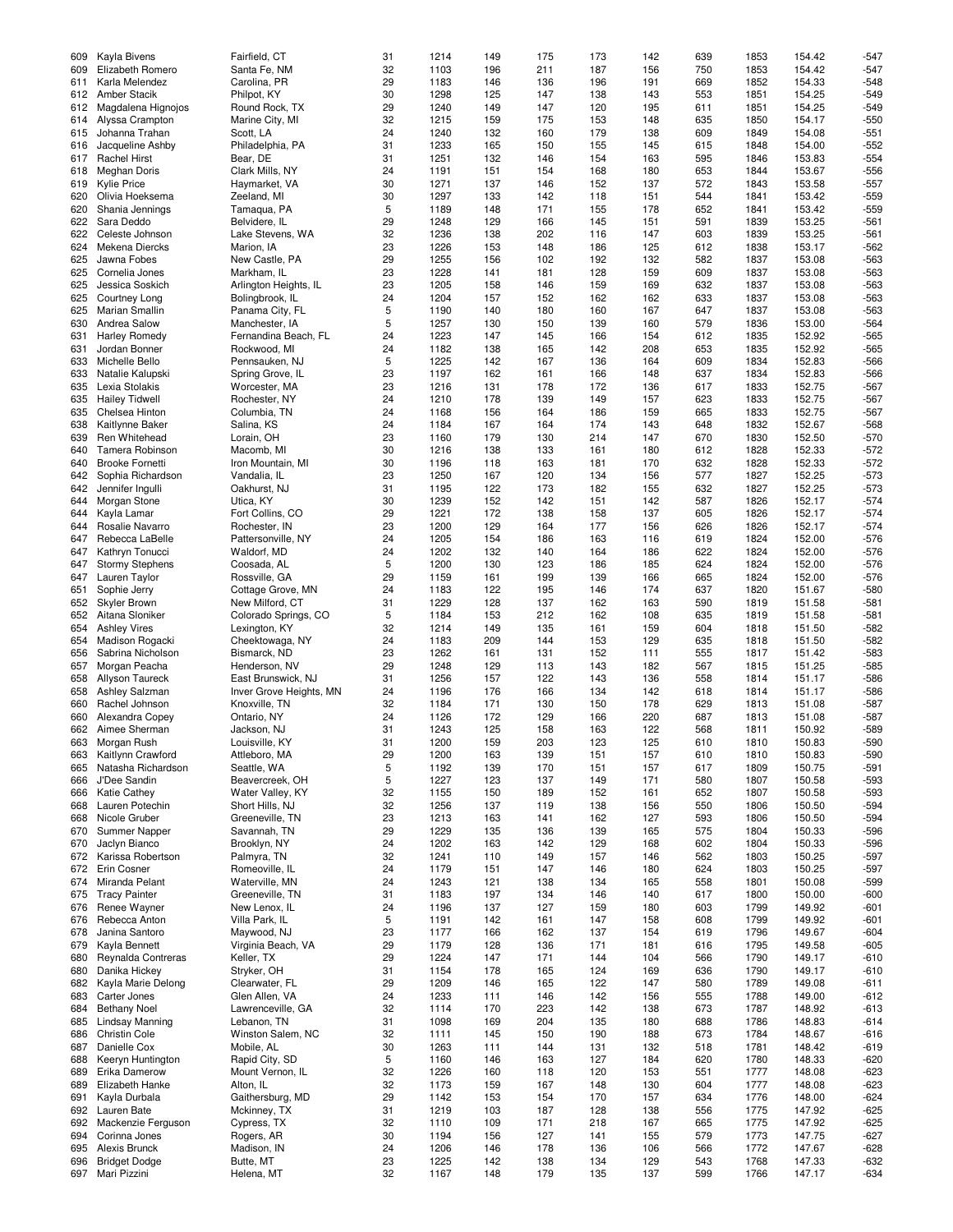| 609 | Kayla Bivens           | Fairfield, CT           | 31 | 1214 | 149 | 175 | 173 | 142 | 639 | 1853 | 154.42 | $-547$ |
|-----|------------------------|-------------------------|----|------|-----|-----|-----|-----|-----|------|--------|--------|
| 609 | Elizabeth Romero       | Santa Fe, NM            | 32 | 1103 | 196 | 211 | 187 | 156 | 750 | 1853 | 154.42 | $-547$ |
| 611 | Karla Melendez         | Carolina, PR            | 29 | 1183 | 146 | 136 | 196 | 191 | 669 | 1852 | 154.33 | $-548$ |
|     |                        |                         |    |      |     |     |     |     |     |      |        |        |
| 612 | Amber Stacik           | Philpot, KY             | 30 | 1298 | 125 | 147 | 138 | 143 | 553 | 1851 | 154.25 | $-549$ |
| 612 | Magdalena Hignojos     | Round Rock, TX          | 29 | 1240 | 149 | 147 | 120 | 195 | 611 | 1851 | 154.25 | $-549$ |
| 614 | Alyssa Crampton        | Marine City, MI         | 32 | 1215 | 159 | 175 | 153 | 148 | 635 | 1850 | 154.17 | $-550$ |
| 615 | Johanna Trahan         | Scott, LA               | 24 | 1240 | 132 | 160 | 179 | 138 | 609 | 1849 | 154.08 | $-551$ |
| 616 | Jacqueline Ashby       | Philadelphia, PA        | 31 | 1233 | 165 | 150 | 155 | 145 | 615 | 1848 | 154.00 | $-552$ |
| 617 | <b>Rachel Hirst</b>    | Bear, DE                | 31 | 1251 | 132 | 146 | 154 | 163 | 595 | 1846 | 153.83 | $-554$ |
|     |                        |                         |    |      |     |     |     |     |     |      |        |        |
| 618 | Meghan Doris           | Clark Mills, NY         | 24 | 1191 | 151 | 154 | 168 | 180 | 653 | 1844 | 153.67 | $-556$ |
| 619 | <b>Kylie Price</b>     | Haymarket, VA           | 30 | 1271 | 137 | 146 | 152 | 137 | 572 | 1843 | 153.58 | $-557$ |
| 620 | Olivia Hoeksema        | Zeeland, MI             | 30 | 1297 | 133 | 142 | 118 | 151 | 544 | 1841 | 153.42 | $-559$ |
| 620 | Shania Jennings        | Tamaqua, PA             | 5  | 1189 | 148 | 171 | 155 | 178 | 652 | 1841 | 153.42 | $-559$ |
| 622 | Sara Deddo             | Belvidere, IL           | 29 | 1248 | 129 | 166 | 145 | 151 | 591 | 1839 | 153.25 | $-561$ |
|     |                        |                         |    |      |     |     |     |     |     |      |        |        |
| 622 | Celeste Johnson        | Lake Stevens, WA        | 32 | 1236 | 138 | 202 | 116 | 147 | 603 | 1839 | 153.25 | $-561$ |
| 624 | Mekena Diercks         | Marion, IA              | 23 | 1226 | 153 | 148 | 186 | 125 | 612 | 1838 | 153.17 | $-562$ |
| 625 | Jawna Fobes            | New Castle, PA          | 29 | 1255 | 156 | 102 | 192 | 132 | 582 | 1837 | 153.08 | $-563$ |
| 625 | Cornelia Jones         | Markham, IL             | 23 | 1228 | 141 | 181 | 128 | 159 | 609 | 1837 | 153.08 | $-563$ |
| 625 | Jessica Soskich        | Arlington Heights, IL   | 23 | 1205 | 158 | 146 | 159 | 169 | 632 | 1837 | 153.08 | $-563$ |
| 625 | Courtney Long          | Bolingbrook, IL         | 24 | 1204 | 157 | 152 | 162 | 162 | 633 | 1837 | 153.08 | $-563$ |
|     |                        |                         | 5  |      |     |     |     |     |     |      |        |        |
| 625 | <b>Marian Smallin</b>  | Panama City, FL         |    | 1190 | 140 | 180 | 160 | 167 | 647 | 1837 | 153.08 | $-563$ |
| 630 | Andrea Salow           | Manchester, IA          | 5  | 1257 | 130 | 150 | 139 | 160 | 579 | 1836 | 153.00 | $-564$ |
| 631 | <b>Harley Romedy</b>   | Fernandina Beach, FL    | 24 | 1223 | 147 | 145 | 166 | 154 | 612 | 1835 | 152.92 | $-565$ |
| 631 | Jordan Bonner          | Rockwood, MI            | 24 | 1182 | 138 | 165 | 142 | 208 | 653 | 1835 | 152.92 | $-565$ |
| 633 | Michelle Bello         | Pennsauken, NJ          | 5  | 1225 | 142 | 167 | 136 | 164 | 609 | 1834 | 152.83 | $-566$ |
| 633 | Natalie Kalupski       | Spring Grove, IL        | 23 | 1197 | 162 | 161 | 166 | 148 | 637 | 1834 | 152.83 | $-566$ |
|     |                        |                         |    |      |     |     | 172 |     |     |      |        |        |
| 635 | Lexia Stolakis         | Worcester, MA           | 23 | 1216 | 131 | 178 |     | 136 | 617 | 1833 | 152.75 | $-567$ |
| 635 | <b>Hailey Tidwell</b>  | Rochester, NY           | 24 | 1210 | 178 | 139 | 149 | 157 | 623 | 1833 | 152.75 | $-567$ |
| 635 | Chelsea Hinton         | Columbia, TN            | 24 | 1168 | 156 | 164 | 186 | 159 | 665 | 1833 | 152.75 | $-567$ |
| 638 | Kaitlynne Baker        | Salina, KS              | 24 | 1184 | 167 | 164 | 174 | 143 | 648 | 1832 | 152.67 | $-568$ |
| 639 | Ren Whitehead          | Lorain, OH              | 23 | 1160 | 179 | 130 | 214 | 147 | 670 | 1830 | 152.50 | $-570$ |
| 640 | <b>Tamera Robinson</b> | Macomb, MI              | 30 | 1216 | 138 | 133 | 161 | 180 | 612 | 1828 | 152.33 | $-572$ |
|     |                        |                         |    |      |     |     |     |     |     |      |        |        |
| 640 | <b>Brooke Fornetti</b> | Iron Mountain, MI       | 30 | 1196 | 118 | 163 | 181 | 170 | 632 | 1828 | 152.33 | $-572$ |
| 642 | Sophia Richardson      | Vandalia, IL            | 23 | 1250 | 167 | 120 | 134 | 156 | 577 | 1827 | 152.25 | $-573$ |
| 642 | Jennifer Ingulli       | Oakhurst, NJ            | 31 | 1195 | 122 | 173 | 182 | 155 | 632 | 1827 | 152.25 | $-573$ |
| 644 | Morgan Stone           | Utica, KY               | 30 | 1239 | 152 | 142 | 151 | 142 | 587 | 1826 | 152.17 | $-574$ |
| 644 | Kayla Lamar            | Fort Collins, CO        | 29 | 1221 | 172 | 138 | 158 | 137 | 605 | 1826 | 152.17 | $-574$ |
|     |                        |                         | 23 | 1200 | 129 |     | 177 |     | 626 | 1826 | 152.17 | $-574$ |
| 644 | Rosalie Navarro        | Rochester, IN           |    |      |     | 164 |     | 156 |     |      |        |        |
| 647 | Rebecca LaBelle        | Pattersonville, NY      | 24 | 1205 | 154 | 186 | 163 | 116 | 619 | 1824 | 152.00 | $-576$ |
| 647 | Kathryn Tonucci        | Waldorf, MD             | 24 | 1202 | 132 | 140 | 164 | 186 | 622 | 1824 | 152.00 | $-576$ |
| 647 | <b>Stormy Stephens</b> | Coosada, AL             | 5  | 1200 | 130 | 123 | 186 | 185 | 624 | 1824 | 152.00 | $-576$ |
| 647 | Lauren Taylor          | Rossville, GA           | 29 | 1159 | 161 | 199 | 139 | 166 | 665 | 1824 | 152.00 | $-576$ |
| 651 | Sophie Jerry           | Cottage Grove, MN       | 24 | 1183 | 122 | 195 | 146 | 174 | 637 | 1820 | 151.67 | $-580$ |
| 652 | Skyler Brown           | New Milford, CT         | 31 | 1229 | 128 | 137 | 162 | 163 | 590 | 1819 | 151.58 | $-581$ |
|     |                        |                         | 5  |      |     | 212 | 162 | 108 |     |      |        |        |
| 652 | Aitana Sloniker        | Colorado Springs, CO    |    | 1184 | 153 |     |     |     | 635 | 1819 | 151.58 | $-581$ |
| 654 | <b>Ashley Vires</b>    | Lexington, KY           | 32 | 1214 | 149 | 135 | 161 | 159 | 604 | 1818 | 151.50 | $-582$ |
| 654 | Madison Rogacki        | Cheektowaga, NY         | 24 | 1183 | 209 | 144 | 153 | 129 | 635 | 1818 | 151.50 | $-582$ |
| 656 | Sabrina Nicholson      | Bismarck, ND            | 23 | 1262 | 161 | 131 | 152 | 111 | 555 | 1817 | 151.42 | $-583$ |
| 657 | Morgan Peacha          | Henderson, NV           | 29 | 1248 | 129 | 113 | 143 | 182 | 567 | 1815 | 151.25 | $-585$ |
| 658 | <b>Allyson Taureck</b> | East Brunswick, NJ      | 31 | 1256 | 157 | 122 | 143 | 136 | 558 | 1814 | 151.17 | $-586$ |
|     |                        |                         |    |      |     |     |     |     |     |      |        |        |
| 658 | Ashley Salzman         | Inver Grove Heights, MN | 24 | 1196 | 176 | 166 | 134 | 142 | 618 | 1814 | 151.17 | $-586$ |
| 660 | Rachel Johnson         | Knoxville, TN           | 32 | 1184 | 171 | 130 | 150 | 178 | 629 | 1813 | 151.08 | $-587$ |
| 660 | Alexandra Copey        | Ontario, NY             | 24 | 1126 | 172 | 129 | 166 | 220 | 687 | 1813 | 151.08 | $-587$ |
| 662 | Aimee Sherman          | Jackson, NJ             | 31 | 1243 | 125 | 158 | 163 | 122 | 568 | 1811 | 150.92 | $-589$ |
| 663 | Morgan Rush            | Louisville, KY          | 31 | 1200 | 159 | 203 | 123 | 125 | 610 | 1810 | 150.83 | $-590$ |
| 663 | Kaitlynn Crawford      | Attleboro, MA           | 29 | 1200 | 163 | 139 | 151 | 157 | 610 | 1810 | 150.83 | $-590$ |
| 665 | Natasha Richardson     | Seattle, WA             | 5  | 1192 | 139 | 170 |     | 157 | 617 | 1809 | 150.75 | $-591$ |
|     |                        |                         |    |      |     |     | 151 |     |     |      |        |        |
| 666 | J'Dee Sandin           | Beavercreek, OH         | 5  | 1227 | 123 | 137 | 149 | 171 | 580 | 1807 | 150.58 | $-593$ |
| 666 | <b>Katie Cathey</b>    | Water Valley, KY        | 32 | 1155 | 150 | 189 | 152 | 161 | 652 | 1807 | 150.58 | $-593$ |
| 668 | Lauren Potechin        | Short Hills, NJ         | 32 | 1256 | 137 | 119 | 138 | 156 | 550 | 1806 | 150.50 | $-594$ |
| 668 | Nicole Gruber          | Greeneville, TN         | 23 | 1213 | 163 | 141 | 162 | 127 | 593 | 1806 | 150.50 | $-594$ |
| 670 | Summer Napper          | Savannah, TN            | 29 | 1229 | 135 | 136 | 139 | 165 | 575 | 1804 | 150.33 | $-596$ |
| 670 | Jaclyn Bianco          | Brooklyn, NY            | 24 | 1202 | 163 | 142 | 129 | 168 | 602 | 1804 | 150.33 | $-596$ |
|     |                        |                         |    |      |     |     |     |     |     |      |        |        |
| 672 | Karissa Robertson      | Palmyra, TN             | 32 | 1241 | 110 | 149 | 157 | 146 | 562 | 1803 | 150.25 | $-597$ |
| 672 | Erin Cosner            | Romeoville, IL          | 24 | 1179 | 151 | 147 | 146 | 180 | 624 | 1803 | 150.25 | $-597$ |
| 674 | Miranda Pelant         | Waterville, MN          | 24 | 1243 | 121 | 138 | 134 | 165 | 558 | 1801 | 150.08 | $-599$ |
| 675 | <b>Tracy Painter</b>   | Greeneville, TN         | 31 | 1183 | 197 | 134 | 146 | 140 | 617 | 1800 | 150.00 | $-600$ |
| 676 | Renee Wayner           | New Lenox, IL           | 24 | 1196 | 137 | 127 | 159 | 180 | 603 | 1799 | 149.92 | $-601$ |
| 676 | Rebecca Anton          | Villa Park, IL          | 5  | 1191 | 142 | 161 | 147 | 158 | 608 | 1799 | 149.92 | $-601$ |
| 678 | Janina Santoro         | Maywood, NJ             | 23 | 1177 | 166 | 162 | 137 | 154 | 619 | 1796 | 149.67 | $-604$ |
|     |                        |                         |    |      |     |     |     |     |     |      |        |        |
| 679 | Kayla Bennett          | Virginia Beach, VA      | 29 | 1179 | 128 | 136 | 171 | 181 | 616 | 1795 | 149.58 | $-605$ |
| 680 | Reynalda Contreras     | Keller, TX              | 29 | 1224 | 147 | 171 | 144 | 104 | 566 | 1790 | 149.17 | $-610$ |
| 680 | Danika Hickey          | Stryker, OH             | 31 | 1154 | 178 | 165 | 124 | 169 | 636 | 1790 | 149.17 | $-610$ |
| 682 | Kayla Marie Delong     | Clearwater, FL          | 29 | 1209 | 146 | 165 | 122 | 147 | 580 | 1789 | 149.08 | $-611$ |
| 683 | Carter Jones           | Glen Allen, VA          | 24 | 1233 | 111 | 146 | 142 | 156 | 555 | 1788 | 149.00 | $-612$ |
| 684 | <b>Bethany Noel</b>    | Lawrenceville, GA       | 32 | 1114 | 170 | 223 | 142 | 138 | 673 | 1787 | 148.92 | $-613$ |
|     |                        |                         |    |      |     |     |     |     |     |      |        |        |
| 685 | Lindsay Manning        | Lebanon, TN             | 31 | 1098 | 169 | 204 | 135 | 180 | 688 | 1786 | 148.83 | $-614$ |
| 686 | Christin Cole          | Winston Salem, NC       | 32 | 1111 | 145 | 150 | 190 | 188 | 673 | 1784 | 148.67 | $-616$ |
| 687 | Danielle Cox           | Mobile, AL              | 30 | 1263 | 111 | 144 | 131 | 132 | 518 | 1781 | 148.42 | $-619$ |
| 688 | Keeryn Huntington      | Rapid City, SD          | 5  | 1160 | 146 | 163 | 127 | 184 | 620 | 1780 | 148.33 | $-620$ |
| 689 | Erika Damerow          | Mount Vernon, IL        | 32 | 1226 | 160 | 118 | 120 | 153 | 551 | 1777 | 148.08 | $-623$ |
| 689 | Elizabeth Hanke        | Alton, IL               | 32 | 1173 | 159 | 167 | 148 | 130 | 604 | 1777 | 148.08 | $-623$ |
|     |                        |                         |    |      |     |     |     |     |     |      |        |        |
| 691 | Kayla Durbala          | Gaithersburg, MD        | 29 | 1142 | 153 | 154 | 170 | 157 | 634 | 1776 | 148.00 | $-624$ |
| 692 | Lauren Bate            | Mckinney, TX            | 31 | 1219 | 103 | 187 | 128 | 138 | 556 | 1775 | 147.92 | $-625$ |
| 692 | Mackenzie Ferguson     | Cypress, TX             | 32 | 1110 | 109 | 171 | 218 | 167 | 665 | 1775 | 147.92 | $-625$ |
| 694 | Corinna Jones          | Rogers, AR              | 30 | 1194 | 156 | 127 | 141 | 155 | 579 | 1773 | 147.75 | $-627$ |
| 695 | Alexis Brunck          | Madison, IN             | 24 | 1206 | 146 | 178 | 136 | 106 | 566 | 1772 | 147.67 | $-628$ |
| 696 | <b>Bridget Dodge</b>   | Butte, MT               | 23 | 1225 | 142 | 138 | 134 | 129 | 543 | 1768 | 147.33 | $-632$ |
| 697 | Mari Pizzini           | Helena, MT              | 32 | 1167 | 148 | 179 | 135 | 137 | 599 | 1766 | 147.17 | $-634$ |
|     |                        |                         |    |      |     |     |     |     |     |      |        |        |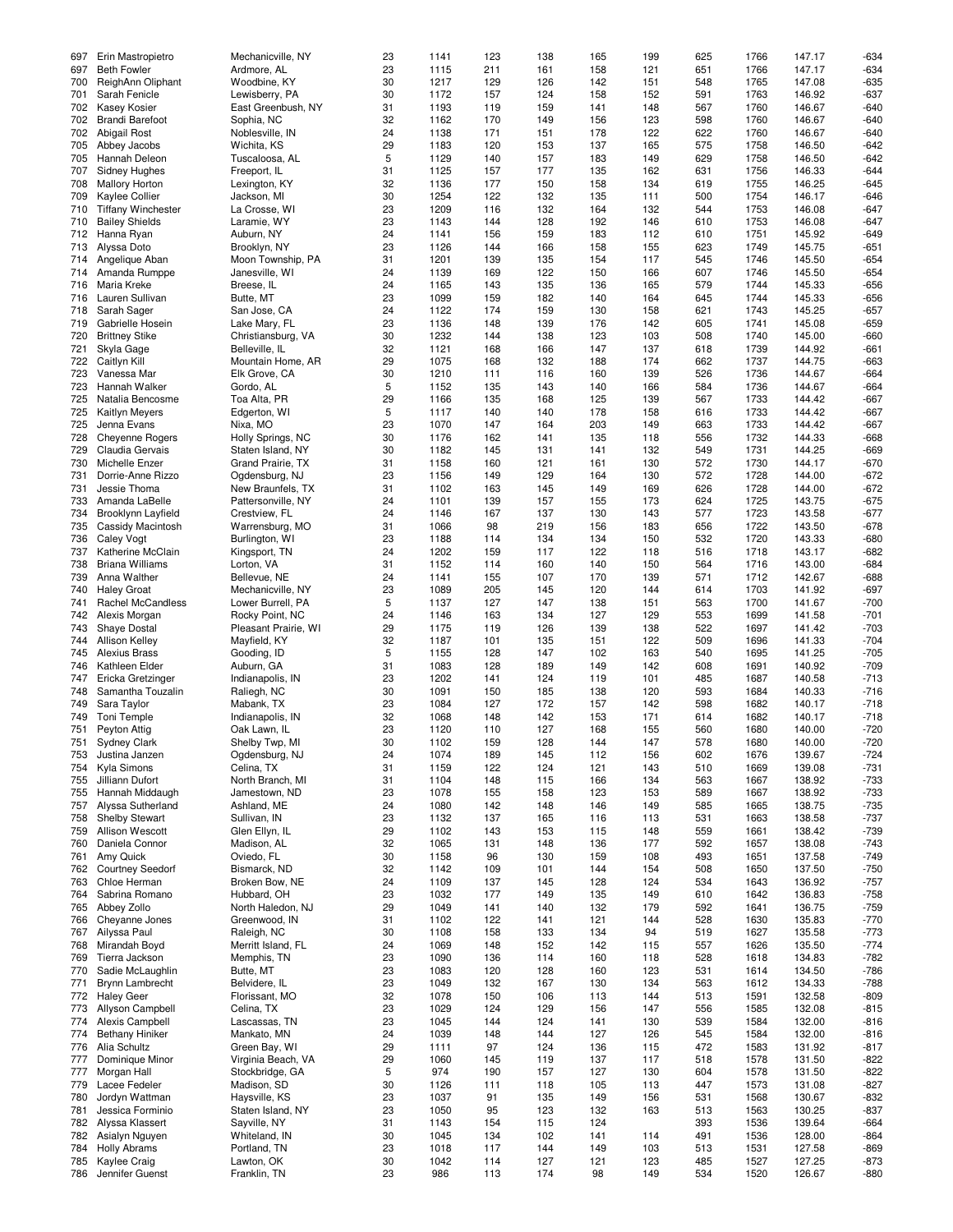| 697 | Erin Mastropietro         | Mechanicville, NY    | 23 | 1141 | 123 | 138 | 165 | 199 | 625 | 1766 | 147.17 | $-634$ |
|-----|---------------------------|----------------------|----|------|-----|-----|-----|-----|-----|------|--------|--------|
| 697 | <b>Beth Fowler</b>        | Ardmore, AL          | 23 | 1115 | 211 | 161 | 158 | 121 | 651 | 1766 | 147.17 | $-634$ |
| 700 | ReighAnn Oliphant         | Woodbine, KY         | 30 | 1217 | 129 | 126 | 142 | 151 | 548 | 1765 | 147.08 | $-635$ |
| 701 | Sarah Fenicle             | Lewisberry, PA       | 30 | 1172 | 157 | 124 | 158 | 152 | 591 | 1763 | 146.92 | $-637$ |
| 702 | Kasey Kosier              | East Greenbush, NY   | 31 | 1193 | 119 | 159 | 141 | 148 | 567 | 1760 | 146.67 | $-640$ |
|     |                           |                      |    |      |     |     |     |     |     |      |        |        |
| 702 | <b>Brandi Barefoot</b>    | Sophia, NC           | 32 | 1162 | 170 | 149 | 156 | 123 | 598 | 1760 | 146.67 | $-640$ |
| 702 | Abigail Rost              | Noblesville, IN      | 24 | 1138 | 171 | 151 | 178 | 122 | 622 | 1760 | 146.67 | $-640$ |
| 705 | Abbey Jacobs              | Wichita, KS          | 29 | 1183 | 120 | 153 | 137 | 165 | 575 | 1758 | 146.50 | $-642$ |
| 705 | Hannah Deleon             | Tuscaloosa, AL       | 5  | 1129 | 140 | 157 | 183 | 149 | 629 | 1758 | 146.50 | $-642$ |
|     |                           |                      |    |      |     |     |     |     |     |      |        |        |
| 707 | <b>Sidney Hughes</b>      | Freeport, IL         | 31 | 1125 | 157 | 177 | 135 | 162 | 631 | 1756 | 146.33 | $-644$ |
| 708 | <b>Mallory Horton</b>     | Lexington, KY        | 32 | 1136 | 177 | 150 | 158 | 134 | 619 | 1755 | 146.25 | $-645$ |
| 709 | Kaylee Collier            | Jackson, MI          | 30 | 1254 | 122 | 132 | 135 | 111 | 500 | 1754 | 146.17 | $-646$ |
| 710 | <b>Tiffany Winchester</b> | La Crosse, WI        | 23 | 1209 | 116 | 132 | 164 | 132 | 544 | 1753 | 146.08 | $-647$ |
|     |                           |                      |    |      |     |     |     |     |     |      |        |        |
| 710 | <b>Bailey Shields</b>     | Laramie, WY          | 23 | 1143 | 144 | 128 | 192 | 146 | 610 | 1753 | 146.08 | $-647$ |
| 712 | Hanna Ryan                | Auburn, NY           | 24 | 1141 | 156 | 159 | 183 | 112 | 610 | 1751 | 145.92 | $-649$ |
| 713 | Alyssa Doto               | Brooklyn, NY         | 23 | 1126 | 144 | 166 | 158 | 155 | 623 | 1749 | 145.75 | $-651$ |
| 714 | Angelique Aban            | Moon Township, PA    | 31 | 1201 | 139 | 135 | 154 | 117 | 545 | 1746 | 145.50 | $-654$ |
|     |                           |                      |    |      |     |     |     |     |     |      |        |        |
| 714 | Amanda Rumppe             | Janesville, WI       | 24 | 1139 | 169 | 122 | 150 | 166 | 607 | 1746 | 145.50 | $-654$ |
| 716 | Maria Kreke               | Breese, IL           | 24 | 1165 | 143 | 135 | 136 | 165 | 579 | 1744 | 145.33 | $-656$ |
| 716 | Lauren Sullivan           | Butte, MT            | 23 | 1099 | 159 | 182 | 140 | 164 | 645 | 1744 | 145.33 | $-656$ |
| 718 | Sarah Sager               | San Jose, CA         | 24 | 1122 | 174 | 159 | 130 | 158 | 621 | 1743 | 145.25 | $-657$ |
|     |                           |                      |    |      |     |     |     |     |     |      |        |        |
| 719 | Gabrielle Hosein          | Lake Mary, FL        | 23 | 1136 | 148 | 139 | 176 | 142 | 605 | 1741 | 145.08 | $-659$ |
| 720 | <b>Brittney Stike</b>     | Christiansburg, VA   | 30 | 1232 | 144 | 138 | 123 | 103 | 508 | 1740 | 145.00 | $-660$ |
| 721 | Skyla Gage                | Belleville, IL       | 32 | 1121 | 168 | 166 | 147 | 137 | 618 | 1739 | 144.92 | $-661$ |
| 722 | Caitlyn Kill              | Mountain Home, AR    | 29 | 1075 | 168 | 132 | 188 | 174 | 662 | 1737 | 144.75 | $-663$ |
|     |                           |                      |    |      |     |     |     |     |     |      |        |        |
| 723 | Vanessa Mar               | Elk Grove, CA        | 30 | 1210 | 111 | 116 | 160 | 139 | 526 | 1736 | 144.67 | $-664$ |
| 723 | Hannah Walker             | Gordo, AL            | 5  | 1152 | 135 | 143 | 140 | 166 | 584 | 1736 | 144.67 | $-664$ |
| 725 | Natalia Bencosme          | Toa Alta, PR         | 29 | 1166 | 135 | 168 | 125 | 139 | 567 | 1733 | 144.42 | $-667$ |
| 725 | <b>Kaitlyn Meyers</b>     | Edgerton, WI         | 5  | 1117 | 140 | 140 | 178 | 158 | 616 | 1733 | 144.42 | $-667$ |
|     |                           |                      |    |      |     |     |     |     |     |      |        |        |
| 725 | Jenna Evans               | Nixa, MO             | 23 | 1070 | 147 | 164 | 203 | 149 | 663 | 1733 | 144.42 | $-667$ |
| 728 | <b>Cheyenne Rogers</b>    | Holly Springs, NC    | 30 | 1176 | 162 | 141 | 135 | 118 | 556 | 1732 | 144.33 | $-668$ |
| 729 | Claudia Gervais           | Staten Island, NY    | 30 | 1182 | 145 | 131 | 141 | 132 | 549 | 1731 | 144.25 | $-669$ |
|     |                           |                      |    |      |     |     |     |     |     |      |        |        |
| 730 | Michelle Enzer            | Grand Prairie, TX    | 31 | 1158 | 160 | 121 | 161 | 130 | 572 | 1730 | 144.17 | $-670$ |
| 731 | Dorrie-Anne Rizzo         | Ogdensburg, NJ       | 23 | 1156 | 149 | 129 | 164 | 130 | 572 | 1728 | 144.00 | $-672$ |
| 731 | Jessie Thoma              | New Braunfels, TX    | 31 | 1102 | 163 | 145 | 149 | 169 | 626 | 1728 | 144.00 | $-672$ |
| 733 | Amanda LaBelle            | Pattersonville, NY   | 24 | 1101 | 139 | 157 | 155 | 173 | 624 | 1725 | 143.75 | $-675$ |
|     |                           |                      |    |      |     |     |     |     |     |      |        |        |
| 734 | Brooklynn Layfield        | Crestview, FL        | 24 | 1146 | 167 | 137 | 130 | 143 | 577 | 1723 | 143.58 | $-677$ |
| 735 | Cassidy Macintosh         | Warrensburg, MO      | 31 | 1066 | 98  | 219 | 156 | 183 | 656 | 1722 | 143.50 | $-678$ |
| 736 | Caley Vogt                | Burlington, WI       | 23 | 1188 | 114 | 134 | 134 | 150 | 532 | 1720 | 143.33 | $-680$ |
| 737 | Katherine McClain         | Kingsport, TN        | 24 | 1202 | 159 | 117 | 122 | 118 | 516 | 1718 | 143.17 | $-682$ |
|     |                           |                      |    |      |     |     |     |     |     |      |        |        |
| 738 | <b>Briana Williams</b>    | Lorton, VA           | 31 | 1152 | 114 | 160 | 140 | 150 | 564 | 1716 | 143.00 | $-684$ |
| 739 | Anna Walther              | Bellevue, NE         | 24 | 1141 | 155 | 107 | 170 | 139 | 571 | 1712 | 142.67 | $-688$ |
| 740 | <b>Haley Groat</b>        | Mechanicville, NY    | 23 | 1089 | 205 | 145 | 120 | 144 | 614 | 1703 | 141.92 | $-697$ |
| 741 | Rachel McCandless         | Lower Burrell, PA    | 5  | 1137 | 127 | 147 | 138 | 151 | 563 | 1700 | 141.67 | $-700$ |
|     |                           |                      |    |      |     |     |     |     |     |      |        |        |
| 742 | Alexis Morgan             | Rocky Point, NC      | 24 | 1146 | 163 | 134 | 127 | 129 | 553 | 1699 | 141.58 | $-701$ |
| 743 | Shaye Dostal              | Pleasant Prairie, WI | 29 | 1175 | 119 | 126 | 139 | 138 | 522 | 1697 | 141.42 | $-703$ |
| 744 | Allison Kelley            | Mayfield, KY         | 32 | 1187 | 101 | 135 | 151 | 122 | 509 | 1696 | 141.33 | $-704$ |
| 745 | <b>Alexius Brass</b>      | Gooding, ID          | 5  | 1155 | 128 | 147 | 102 | 163 | 540 | 1695 | 141.25 | $-705$ |
|     |                           |                      |    |      |     |     |     |     |     |      |        |        |
| 746 | Kathleen Elder            | Auburn, GA           | 31 | 1083 | 128 | 189 | 149 | 142 | 608 | 1691 | 140.92 | $-709$ |
| 747 | Ericka Gretzinger         | Indianapolis, IN     | 23 | 1202 | 141 | 124 | 119 | 101 | 485 | 1687 | 140.58 | $-713$ |
| 748 | Samantha Touzalin         | Raliegh, NC          | 30 | 1091 | 150 | 185 | 138 | 120 | 593 | 1684 | 140.33 | $-716$ |
| 749 | Sara Taylor               | Mabank, TX           | 23 | 1084 | 127 | 172 | 157 | 142 | 598 | 1682 | 140.17 | $-718$ |
|     |                           |                      |    |      |     |     |     |     |     |      |        |        |
| 749 | Toni Temple               | Indianapolis, IN     | 32 | 1068 | 148 | 142 | 153 | 171 | 614 | 1682 | 140.17 | $-718$ |
| 751 | Peyton Attig              | Oak Lawn, IL         | 23 | 1120 | 110 | 127 | 168 | 155 | 560 | 1680 | 140.00 | $-720$ |
| 751 | Sydney Clark              | Shelby Twp, MI       | 30 | 1102 | 159 | 128 | 144 | 147 | 578 | 1680 | 140.00 | $-720$ |
|     | Justina Janzen            |                      |    |      |     |     |     |     |     |      |        |        |
| 753 |                           | Ogdensburg, NJ       | 24 | 1074 | 189 | 145 | 112 | 156 | 602 | 1676 | 139.67 | $-724$ |
| 754 | Kyla Simons               | Celina, TX           | 31 | 1159 | 122 | 124 | 121 | 143 | 510 | 1669 | 139.08 | $-731$ |
| 755 | Jilliann Dufort           | North Branch, MI     | 31 | 1104 | 148 | 115 | 166 | 134 | 563 | 1667 | 138.92 | $-733$ |
| 755 | Hannah Middaugh           | Jamestown, ND        | 23 | 1078 | 155 | 158 | 123 | 153 | 589 | 1667 | 138.92 | $-733$ |
|     | Alyssa Sutherland         |                      |    |      |     |     |     |     |     |      |        |        |
| 757 |                           | Ashland, ME          | 24 | 1080 | 142 | 148 | 146 | 149 | 585 | 1665 | 138.75 | $-735$ |
| 758 | <b>Shelby Stewart</b>     | Sullivan, IN         | 23 | 1132 | 137 | 165 | 116 | 113 | 531 | 1663 | 138.58 | $-737$ |
| 759 | <b>Allison Wescott</b>    | Glen Ellyn, IL       | 29 | 1102 | 143 | 153 | 115 | 148 | 559 | 1661 | 138.42 | $-739$ |
| 760 | Daniela Connor            | Madison, AL          | 32 | 1065 | 131 | 148 | 136 | 177 | 592 | 1657 | 138.08 | $-743$ |
| 761 | Amy Quick                 | Oviedo, FL           | 30 | 1158 | 96  | 130 | 159 | 108 | 493 | 1651 | 137.58 | $-749$ |
|     |                           |                      |    |      |     |     |     |     |     |      |        |        |
| 762 | <b>Courtney Seedorf</b>   | Bismarck, ND         | 32 | 1142 | 109 | 101 | 144 | 154 | 508 | 1650 | 137.50 | $-750$ |
| 763 | Chloe Herman              | Broken Bow, NE       | 24 | 1109 | 137 | 145 | 128 | 124 | 534 | 1643 | 136.92 | $-757$ |
| 764 | Sabrina Romano            | Hubbard, OH          | 23 | 1032 | 177 | 149 | 135 | 149 | 610 | 1642 | 136.83 | $-758$ |
| 765 | Abbey Zollo               | North Haledon, NJ    | 29 | 1049 | 141 | 140 | 132 | 179 | 592 | 1641 | 136.75 | $-759$ |
|     |                           |                      |    |      |     |     |     |     |     |      |        |        |
| 766 | Cheyanne Jones            | Greenwood, IN        | 31 | 1102 | 122 | 141 | 121 | 144 | 528 | 1630 | 135.83 | $-770$ |
| 767 | Ailyssa Paul              | Raleigh, NC          | 30 | 1108 | 158 | 133 | 134 | 94  | 519 | 1627 | 135.58 | $-773$ |
| 768 | Mirandah Boyd             | Merritt Island, FL   | 24 | 1069 | 148 | 152 | 142 | 115 | 557 | 1626 | 135.50 | $-774$ |
| 769 | Tierra Jackson            | Memphis, TN          | 23 | 1090 | 136 | 114 | 160 | 118 | 528 | 1618 | 134.83 | $-782$ |
|     |                           |                      |    |      |     |     |     |     |     |      |        |        |
| 770 | Sadie McLaughlin          | Butte, MT            | 23 | 1083 | 120 | 128 | 160 | 123 | 531 | 1614 | 134.50 | $-786$ |
| 771 | Brynn Lambrecht           | Belvidere, IL        | 23 | 1049 | 132 | 167 | 130 | 134 | 563 | 1612 | 134.33 | $-788$ |
| 772 | <b>Haley Geer</b>         | Florissant, MO       | 32 | 1078 | 150 | 106 | 113 | 144 | 513 | 1591 | 132.58 | $-809$ |
|     |                           |                      |    |      |     |     |     |     |     |      |        |        |
| 773 | Allyson Campbell          | Celina, TX           | 23 | 1029 | 124 | 129 | 156 | 147 | 556 | 1585 | 132.08 | $-815$ |
| 774 | Alexis Campbell           | Lascassas, TN        | 23 | 1045 | 144 | 124 | 141 | 130 | 539 | 1584 | 132.00 | $-816$ |
| 774 | <b>Bethany Hiniker</b>    | Mankato, MN          | 24 | 1039 | 148 | 144 | 127 | 126 | 545 | 1584 | 132.00 | $-816$ |
| 776 | Alia Schultz              | Green Bay, WI        | 29 | 1111 | 97  | 124 | 136 | 115 | 472 | 1583 | 131.92 | $-817$ |
|     |                           |                      |    |      |     |     |     |     |     |      |        |        |
| 777 | Dominique Minor           | Virginia Beach, VA   | 29 | 1060 | 145 | 119 | 137 | 117 | 518 | 1578 | 131.50 | $-822$ |
| 777 | Morgan Hall               | Stockbridge, GA      | 5  | 974  | 190 | 157 | 127 | 130 | 604 | 1578 | 131.50 | $-822$ |
| 779 | Lacee Fedeler             | Madison, SD          | 30 | 1126 | 111 | 118 | 105 | 113 | 447 | 1573 | 131.08 | $-827$ |
| 780 | Jordyn Wattman            | Haysville, KS        | 23 | 1037 | 91  | 135 | 149 | 156 | 531 | 1568 | 130.67 | $-832$ |
|     |                           |                      |    |      |     |     |     |     |     |      |        |        |
| 781 | Jessica Forminio          | Staten Island, NY    | 23 | 1050 | 95  | 123 | 132 | 163 | 513 | 1563 | 130.25 | $-837$ |
| 782 | Alyssa Klassert           | Sayville, NY         | 31 | 1143 | 154 | 115 | 124 |     | 393 | 1536 | 139.64 | $-664$ |
| 782 | Asialyn Nguyen            | Whiteland, IN        | 30 | 1045 | 134 | 102 | 141 | 114 | 491 | 1536 | 128.00 | $-864$ |
| 784 | <b>Holly Abrams</b>       | Portland, TN         | 23 | 1018 | 117 | 144 | 149 | 103 | 513 | 1531 | 127.58 | $-869$ |
|     |                           |                      |    |      |     |     |     |     |     |      |        |        |
| 785 | Kaylee Craig              | Lawton, OK           | 30 | 1042 | 114 | 127 | 121 | 123 | 485 | 1527 | 127.25 | $-873$ |
| 786 | Jennifer Guenst           | Franklin, TN         | 23 | 986  | 113 | 174 | 98  | 149 | 534 | 1520 | 126.67 | $-880$ |